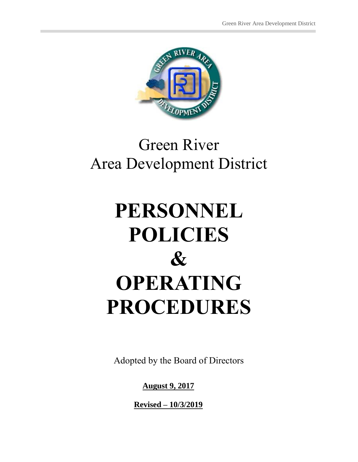

# Green River Area Development District

# **PERSONNEL POLICIES & OPERATING PROCEDURES**

Adopted by the Board of Directors

**August 9, 2017**

**Revised – 10/3/2019**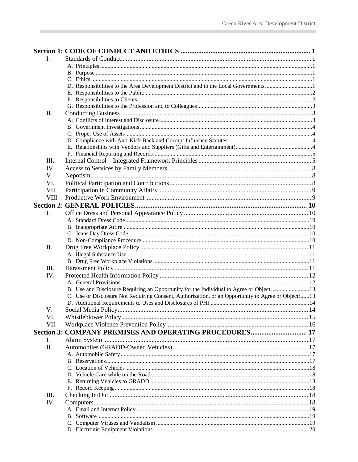| I.    |                                                                                                    |  |
|-------|----------------------------------------------------------------------------------------------------|--|
|       |                                                                                                    |  |
|       |                                                                                                    |  |
|       |                                                                                                    |  |
|       |                                                                                                    |  |
|       |                                                                                                    |  |
|       |                                                                                                    |  |
|       |                                                                                                    |  |
| II.   |                                                                                                    |  |
|       |                                                                                                    |  |
|       |                                                                                                    |  |
|       |                                                                                                    |  |
|       |                                                                                                    |  |
|       |                                                                                                    |  |
|       |                                                                                                    |  |
| Ш.    |                                                                                                    |  |
| IV.   |                                                                                                    |  |
| V.    |                                                                                                    |  |
| VI.   |                                                                                                    |  |
|       |                                                                                                    |  |
| VII.  |                                                                                                    |  |
| VIII. |                                                                                                    |  |
|       |                                                                                                    |  |
| I.    |                                                                                                    |  |
|       |                                                                                                    |  |
|       |                                                                                                    |  |
|       |                                                                                                    |  |
|       |                                                                                                    |  |
| II.   |                                                                                                    |  |
|       |                                                                                                    |  |
|       |                                                                                                    |  |
| III.  |                                                                                                    |  |
| IV.   |                                                                                                    |  |
|       |                                                                                                    |  |
|       | B. Use and Disclosure Requiring an Opportunity for the Individual to Agree or Object13             |  |
|       | C. Use or Disclosure Not Requiring Consent, Authorization, or an Opportunity to Agree or Object:13 |  |
|       |                                                                                                    |  |
| V.    |                                                                                                    |  |
| VI.   |                                                                                                    |  |
| VII.  |                                                                                                    |  |
|       | Section 3: COMPANY PREMISES AND OPERATING PROCEDURES 17                                            |  |
| I.    |                                                                                                    |  |
| Π.    |                                                                                                    |  |
|       |                                                                                                    |  |
|       |                                                                                                    |  |
|       |                                                                                                    |  |
|       |                                                                                                    |  |
|       |                                                                                                    |  |
|       |                                                                                                    |  |
| Ш.    |                                                                                                    |  |
| IV.   |                                                                                                    |  |
|       |                                                                                                    |  |
|       |                                                                                                    |  |
|       |                                                                                                    |  |
|       |                                                                                                    |  |
|       |                                                                                                    |  |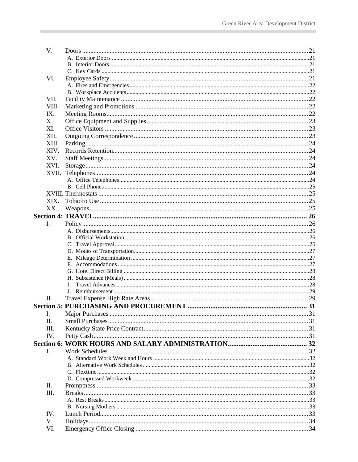| V.    |  |
|-------|--|
|       |  |
|       |  |
|       |  |
| VI.   |  |
|       |  |
|       |  |
| VII.  |  |
| VIII. |  |
| IX.   |  |
| X.    |  |
| XI.   |  |
| XII.  |  |
| XIII. |  |
| XIV.  |  |
| XV.   |  |
|       |  |
| XVI.  |  |
|       |  |
|       |  |
|       |  |
|       |  |
| XIX.  |  |
| XX.   |  |
|       |  |
| Ι.    |  |
|       |  |
|       |  |
|       |  |
|       |  |
|       |  |
|       |  |
|       |  |
|       |  |
|       |  |
|       |  |
| П.    |  |
|       |  |
| I.    |  |
| Π.    |  |
| III.  |  |
| IV.   |  |
|       |  |
| I.    |  |
|       |  |
|       |  |
|       |  |
|       |  |
| П.    |  |
| III.  |  |
|       |  |
|       |  |
| IV.   |  |
| V.    |  |
| VI.   |  |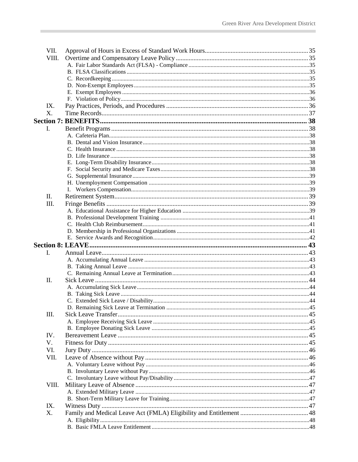| VII.  |  |
|-------|--|
| VIII. |  |
|       |  |
|       |  |
|       |  |
|       |  |
|       |  |
|       |  |
| IX.   |  |
| X.    |  |
|       |  |
| L.    |  |
|       |  |
|       |  |
|       |  |
|       |  |
|       |  |
|       |  |
|       |  |
|       |  |
|       |  |
| П.    |  |
| III.  |  |
|       |  |
|       |  |
|       |  |
|       |  |
|       |  |
|       |  |
|       |  |
|       |  |
| L.    |  |
|       |  |
|       |  |
|       |  |
| Π.    |  |
|       |  |
|       |  |
|       |  |
|       |  |
| III.  |  |
|       |  |
|       |  |
| IV.   |  |
| V.    |  |
| VI.   |  |
| VII.  |  |
|       |  |
|       |  |
|       |  |
| VIII. |  |
|       |  |
|       |  |
| IX.   |  |
| Χ.    |  |
|       |  |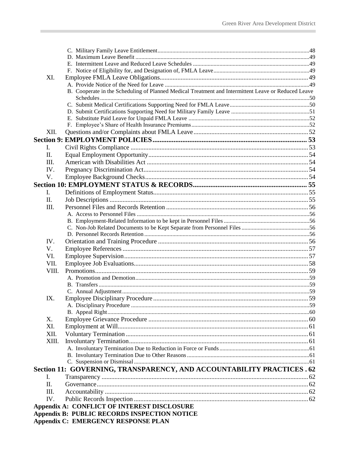| XI.   |                                                                                                     |  |
|-------|-----------------------------------------------------------------------------------------------------|--|
|       |                                                                                                     |  |
|       | B. Cooperate in the Scheduling of Planned Medical Treatment and Intermittent Leave or Reduced Leave |  |
|       |                                                                                                     |  |
|       |                                                                                                     |  |
|       |                                                                                                     |  |
|       |                                                                                                     |  |
|       |                                                                                                     |  |
| XII.  |                                                                                                     |  |
|       |                                                                                                     |  |
| L.    |                                                                                                     |  |
| Π.    |                                                                                                     |  |
| III.  |                                                                                                     |  |
| IV.   |                                                                                                     |  |
| V.    |                                                                                                     |  |
|       |                                                                                                     |  |
| L.    |                                                                                                     |  |
| Π.    |                                                                                                     |  |
| III.  |                                                                                                     |  |
|       |                                                                                                     |  |
|       |                                                                                                     |  |
|       |                                                                                                     |  |
|       |                                                                                                     |  |
| IV.   |                                                                                                     |  |
| V.    |                                                                                                     |  |
| VI.   |                                                                                                     |  |
| VII.  |                                                                                                     |  |
| VIII. |                                                                                                     |  |
|       |                                                                                                     |  |
|       |                                                                                                     |  |
|       |                                                                                                     |  |
| IX.   |                                                                                                     |  |
|       |                                                                                                     |  |
|       |                                                                                                     |  |
| Х.    |                                                                                                     |  |
| XI.   |                                                                                                     |  |
| XII.  |                                                                                                     |  |
| XIII. |                                                                                                     |  |
|       |                                                                                                     |  |
|       |                                                                                                     |  |
|       |                                                                                                     |  |
|       | Section 11: GOVERNING, TRANSPARENCY, AND ACCOUNTABILITY PRACTICES . 62                              |  |
| I.    |                                                                                                     |  |
| Π.    |                                                                                                     |  |
| III.  |                                                                                                     |  |
| IV.   |                                                                                                     |  |
|       |                                                                                                     |  |
|       | Appendix A: CONFLICT OF INTEREST DISCLOSURE                                                         |  |
|       | <b>Appendix B: PUBLIC RECORDS INSPECTION NOTICE</b>                                                 |  |
|       | <b>Appendix C: EMERGENCY RESPONSE PLAN</b>                                                          |  |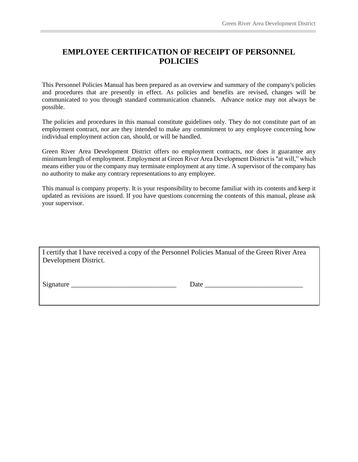## **EMPLOYEE CERTIFICATION OF RECEIPT OF PERSONNEL POLICIES**

This Personnel Policies Manual has been prepared as an overview and summary of the company's policies and procedures that are presently in effect. As policies and benefits are revised, changes will be communicated to you through standard communication channels. Advance notice may not always be possible.

The policies and procedures in this manual constitute guidelines only. They do not constitute part of an employment contract, nor are they intended to make any commitment to any employee concerning how individual employment action can, should, or will be handled.

Green River Area Development District offers no employment contracts, nor does it guarantee any minimum length of employment. Employment at Green River Area Development District is "at will," which means either you or the company may terminate employment at any time. A supervisor of the company has no authority to make any contrary representations to any employee.

This manual is company property. It is your responsibility to become familiar with its contents and keep it updated as revisions are issued. If you have questions concerning the contents of this manual, please ask your supervisor.

I certify that I have received a copy of the Personnel Policies Manual of the Green River Area Development District.

Signature **Example 2.2** Date  $\overline{a}$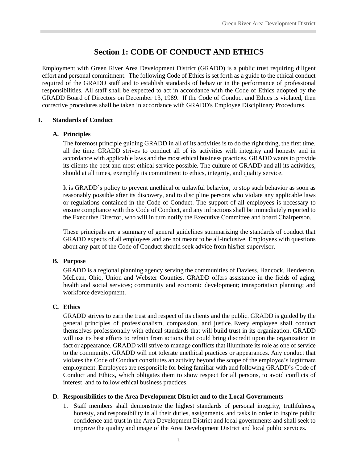## **Section 1: CODE OF CONDUCT AND ETHICS**

<span id="page-6-0"></span>Employment with Green River Area Development District (GRADD) is a public trust requiring diligent effort and personal commitment. The following Code of Ethics is set forth as a guide to the ethical conduct required of the GRADD staff and to establish standards of behavior in the performance of professional responsibilities. All staff shall be expected to act in accordance with the Code of Ethics adopted by the GRADD Board of Directors on December 13, 1989. If the Code of Conduct and Ethics is violated, then corrective procedures shall be taken in accordance with GRADD's Employee Disciplinary Procedures.

#### <span id="page-6-2"></span><span id="page-6-1"></span>**I. Standards of Conduct**

#### **A. Principles**

The foremost principle guiding GRADD in all of its activities is to do the right thing, the first time, all the time. GRADD strives to conduct all of its activities with integrity and honesty and in accordance with applicable laws and the most ethical business practices. GRADD wants to provide its clients the best and most ethical service possible. The culture of GRADD and all its activities, should at all times, exemplify its commitment to ethics, integrity, and quality service.

It is GRADD's policy to prevent unethical or unlawful behavior, to stop such behavior as soon as reasonably possible after its discovery, and to discipline persons who violate any applicable laws or regulations contained in the Code of Conduct. The support of all employees is necessary to ensure compliance with this Code of Conduct, and any infractions shall be immediately reported to the Executive Director, who will in turn notify the Executive Committee and board Chairperson.

These principals are a summary of general guidelines summarizing the standards of conduct that GRADD expects of all employees and are not meant to be all-inclusive. Employees with questions about any part of the Code of Conduct should seek advice from his/her supervisor.

#### <span id="page-6-3"></span>**B. Purpose**

GRADD is a regional planning agency serving the communities of Daviess, Hancock, Henderson, McLean, Ohio, Union and Webster Counties. GRADD offers assistance in the fields of aging, health and social services; community and economic development; transportation planning; and workforce development.

#### <span id="page-6-4"></span>**C. Ethics**

GRADD strives to earn the trust and respect of its clients and the public. GRADD is guided by the general principles of professionalism, compassion, and justice. Every employee shall conduct themselves professionally with ethical standards that will build trust in its organization. GRADD will use its best efforts to refrain from actions that could bring discredit upon the organization in fact or appearance. GRADD will strive to manage conflicts that illuminate its role as one of service to the community. GRADD will not tolerate unethical practices or appearances. Any conduct that violates the Code of Conduct constitutes an activity beyond the scope of the employee's legitimate employment. Employees are responsible for being familiar with and following GRADD's Code of Conduct and Ethics, which obligates them to show respect for all persons, to avoid conflicts of interest, and to follow ethical business practices.

#### <span id="page-6-5"></span>**D. Responsibilities to the Area Development District and to the Local Governments**

1. Staff members shall demonstrate the highest standards of personal integrity, truthfulness, honesty, and responsibility in all their duties, assignments, and tasks in order to inspire public confidence and trust in the Area Development District and local governments and shall seek to improve the quality and image of the Area Development District and local public services.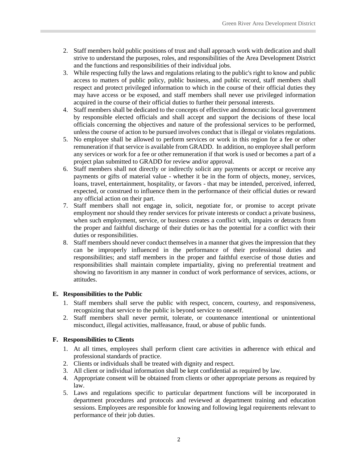- 2. Staff members hold public positions of trust and shall approach work with dedication and shall strive to understand the purposes, roles, and responsibilities of the Area Development District and the functions and responsibilities of their individual jobs.
- 3. While respecting fully the laws and regulations relating to the public's right to know and public access to matters of public policy, public business, and public record, staff members shall respect and protect privileged information to which in the course of their official duties they may have access or be exposed, and staff members shall never use privileged information acquired in the course of their official duties to further their personal interests.
- 4. Staff members shall be dedicated to the concepts of effective and democratic local government by responsible elected officials and shall accept and support the decisions of these local officials concerning the objectives and nature of the professional services to be performed, unless the course of action to be pursued involves conduct that is illegal or violates regulations.
- 5. No employee shall be allowed to perform services or work in this region for a fee or other remuneration if that service is available from GRADD. In addition, no employee shall perform any services or work for a fee or other remuneration if that work is used or becomes a part of a project plan submitted to GRADD for review and/or approval.
- 6. Staff members shall not directly or indirectly solicit any payments or accept or receive any payments or gifts of material value - whether it be in the form of objects, money, services, loans, travel, entertainment, hospitality, or favors - that may be intended, perceived, inferred, expected, or construed to influence them in the performance of their official duties or reward any official action on their part.
- 7. Staff members shall not engage in, solicit, negotiate for, or promise to accept private employment nor should they render services for private interests or conduct a private business, when such employment, service, or business creates a conflict with, impairs or detracts from the proper and faithful discharge of their duties or has the potential for a conflict with their duties or responsibilities.
- 8. Staff members should never conduct themselves in a manner that gives the impression that they can be improperly influenced in the performance of their professional duties and responsibilities; and staff members in the proper and faithful exercise of those duties and responsibilities shall maintain complete impartiality, giving no preferential treatment and showing no favoritism in any manner in conduct of work performance of services, actions, or attitudes.

#### <span id="page-7-0"></span>**E. Responsibilities to the Public**

- 1. Staff members shall serve the public with respect, concern, courtesy, and responsiveness, recognizing that service to the public is beyond service to oneself.
- 2. Staff members shall never permit, tolerate, or countenance intentional or unintentional misconduct, illegal activities, malfeasance, fraud, or abuse of public funds.

#### <span id="page-7-1"></span>**F. Responsibilities to Clients**

- 1. At all times, employees shall perform client care activities in adherence with ethical and professional standards of practice.
- 2. Clients or individuals shall be treated with dignity and respect.
- 3. All client or individual information shall be kept confidential as required by law.
- 4. Appropriate consent will be obtained from clients or other appropriate persons as required by law.
- 5. Laws and regulations specific to particular department functions will be incorporated in department procedures and protocols and reviewed at department training and education sessions. Employees are responsible for knowing and following legal requirements relevant to performance of their job duties.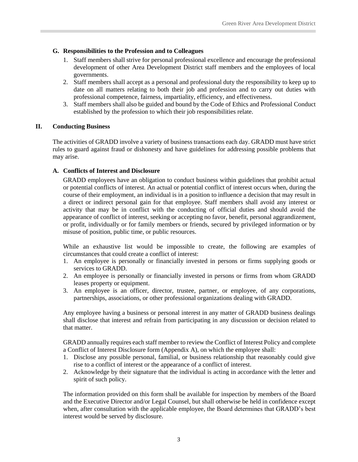#### <span id="page-8-0"></span>**G. Responsibilities to the Profession and to Colleagues**

- 1. Staff members shall strive for personal professional excellence and encourage the professional development of other Area Development District staff members and the employees of local governments.
- 2. Staff members shall accept as a personal and professional duty the responsibility to keep up to date on all matters relating to both their job and profession and to carry out duties with professional competence, fairness, impartiality, efficiency, and effectiveness.
- 3. Staff members shall also be guided and bound by the Code of Ethics and Professional Conduct established by the profession to which their job responsibilities relate.

#### <span id="page-8-1"></span>**II. Conducting Business**

The activities of GRADD involve a variety of business transactions each day. GRADD must have strict rules to guard against fraud or dishonesty and have guidelines for addressing possible problems that may arise.

#### <span id="page-8-2"></span>**A. Conflicts of Interest and Disclosure**

GRADD employees have an obligation to conduct business within guidelines that prohibit actual or potential conflicts of interest. An actual or potential conflict of interest occurs when, during the course of their employment, an individual is in a position to influence a decision that may result in a direct or indirect personal gain for that employee. Staff members shall avoid any interest or activity that may be in conflict with the conducting of official duties and should avoid the appearance of conflict of interest, seeking or accepting no favor, benefit, personal aggrandizement, or profit, individually or for family members or friends, secured by privileged information or by misuse of position, public time, or public resources.

While an exhaustive list would be impossible to create, the following are examples of circumstances that could create a conflict of interest:

- 1. An employee is personally or financially invested in persons or firms supplying goods or services to GRADD.
- 2. An employee is personally or financially invested in persons or firms from whom GRADD leases property or equipment.
- 3. An employee is an officer, director, trustee, partner, or employee, of any corporations, partnerships, associations, or other professional organizations dealing with GRADD.

Any employee having a business or personal interest in any matter of GRADD business dealings shall disclose that interest and refrain from participating in any discussion or decision related to that matter.

GRADD annually requires each staff member to review the Conflict of Interest Policy and complete a Conflict of Interest Disclosure form (Appendix A), on which the employee shall:

- 1. Disclose any possible personal, familial, or business relationship that reasonably could give rise to a conflict of interest or the appearance of a conflict of interest.
- 2. Acknowledge by their signature that the individual is acting in accordance with the letter and spirit of such policy.

The information provided on this form shall be available for inspection by members of the Board and the Executive Director and/or Legal Counsel, but shall otherwise be held in confidence except when, after consultation with the applicable employee, the Board determines that GRADD's best interest would be served by disclosure.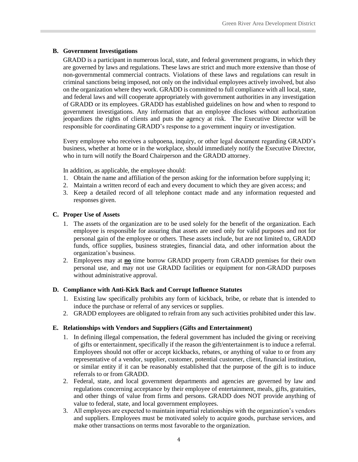#### <span id="page-9-0"></span>**B. Government Investigations**

GRADD is a participant in numerous local, state, and federal government programs, in which they are governed by laws and regulations. These laws are strict and much more extensive than those of non-governmental commercial contracts. Violations of these laws and regulations can result in criminal sanctions being imposed, not only on the individual employees actively involved, but also on the organization where they work. GRADD is committed to full compliance with all local, state, and federal laws and will cooperate appropriately with government authorities in any investigation of GRADD or its employees. GRADD has established guidelines on how and when to respond to government investigations. Any information that an employee discloses without authorization jeopardizes the rights of clients and puts the agency at risk. The Executive Director will be responsible for coordinating GRADD's response to a government inquiry or investigation.

Every employee who receives a subpoena, inquiry, or other legal document regarding GRADD's business, whether at home or in the workplace, should immediately notify the Executive Director, who in turn will notify the Board Chairperson and the GRADD attorney.

In addition, as applicable, the employee should:

- 1. Obtain the name and affiliation of the person asking for the information before supplying it;
- 2. Maintain a written record of each and every document to which they are given access; and
- 3. Keep a detailed record of all telephone contact made and any information requested and responses given.

#### <span id="page-9-1"></span>**C. Proper Use of Assets**

- 1. The assets of the organization are to be used solely for the benefit of the organization. Each employee is responsible for assuring that assets are used only for valid purposes and not for personal gain of the employee or others. These assets include, but are not limited to, GRADD funds, office supplies, business strategies, financial data, and other information about the organization's business.
- 2. Employees may at **no** time borrow GRADD property from GRADD premises for their own personal use, and may not use GRADD facilities or equipment for non-GRADD purposes without administrative approval.

#### <span id="page-9-2"></span>**D. Compliance with Anti-Kick Back and Corrupt Influence Statutes**

- 1. Existing law specifically prohibits any form of kickback, bribe, or rebate that is intended to induce the purchase or referral of any services or supplies.
- 2. GRADD employees are obligated to refrain from any such activities prohibited under this law.

#### <span id="page-9-3"></span>**E. Relationships with Vendors and Suppliers (Gifts and Entertainment)**

- 1. In defining illegal compensation, the federal government has included the giving or receiving of gifts or entertainment, specifically if the reason the gift/entertainment is to induce a referral. Employees should not offer or accept kickbacks, rebates, or anything of value to or from any representative of a vendor, supplier, customer, potential customer, client, financial institution, or similar entity if it can be reasonably established that the purpose of the gift is to induce referrals to or from GRADD.
- 2. Federal, state, and local government departments and agencies are governed by law and regulations concerning acceptance by their employee of entertainment, meals, gifts, gratuities, and other things of value from firms and persons. GRADD does NOT provide anything of value to federal, state, and local government employees.
- 3. All employees are expected to maintain impartial relationships with the organization's vendors and suppliers. Employees must be motivated solely to acquire goods, purchase services, and make other transactions on terms most favorable to the organization.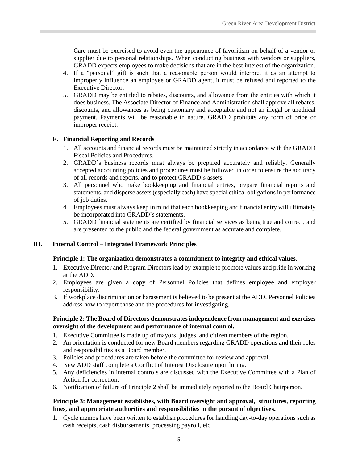Care must be exercised to avoid even the appearance of favoritism on behalf of a vendor or supplier due to personal relationships. When conducting business with vendors or suppliers, GRADD expects employees to make decisions that are in the best interest of the organization.

- 4. If a "personal" gift is such that a reasonable person would interpret it as an attempt to improperly influence an employee or GRADD agent, it must be refused and reported to the Executive Director.
- 5. GRADD may be entitled to rebates, discounts, and allowance from the entities with which it does business. The Associate Director of Finance and Administration shall approve all rebates, discounts, and allowances as being customary and acceptable and not an illegal or unethical payment. Payments will be reasonable in nature. GRADD prohibits any form of bribe or improper receipt.

#### <span id="page-10-0"></span>**F. Financial Reporting and Records**

- 1. All accounts and financial records must be maintained strictly in accordance with the GRADD Fiscal Policies and Procedures.
- 2. GRADD's business records must always be prepared accurately and reliably. Generally accepted accounting policies and procedures must be followed in order to ensure the accuracy of all records and reports, and to protect GRADD's assets.
- 3. All personnel who make bookkeeping and financial entries, prepare financial reports and statements, and disperse assets (especially cash) have special ethical obligations in performance of job duties.
- 4. Employees must always keep in mind that each bookkeeping and financial entry will ultimately be incorporated into GRADD's statements.
- 5. GRADD financial statements are certified by financial services as being true and correct, and are presented to the public and the federal government as accurate and complete.

#### <span id="page-10-1"></span>**III. Internal Control – Integrated Framework Principles**

#### **Principle 1: The organization demonstrates a commitment to integrity and ethical values.**

- 1. Executive Director and Program Directors lead by example to promote values and pride in working at the ADD.
- 2. Employees are given a copy of Personnel Policies that defines employee and employer responsibility.
- 3. If workplace discrimination or harassment is believed to be present at the ADD, Personnel Policies address how to report those and the procedures for investigating.

#### **Principle 2: The Board of Directors demonstrates independence from management and exercises oversight of the development and performance of internal control.**

- 1. Executive Committee is made up of mayors, judges, and citizen members of the region.
- 2. An orientation is conducted for new Board members regarding GRADD operations and their roles and responsibilities as a Board member.
- 3. Policies and procedures are taken before the committee for review and approval.
- 4. New ADD staff complete a Conflict of Interest Disclosure upon hiring.
- 5. Any deficiencies in internal controls are discussed with the Executive Committee with a Plan of Action for correction.
- 6. Notification of failure of Principle 2 shall be immediately reported to the Board Chairperson.

#### **Principle 3: Management establishes, with Board oversight and approval, structures, reporting lines, and appropriate authorities and responsibilities in the pursuit of objectives.**

1. Cycle memos have been written to establish procedures for handling day-to-day operations such as cash receipts, cash disbursements, processing payroll, etc.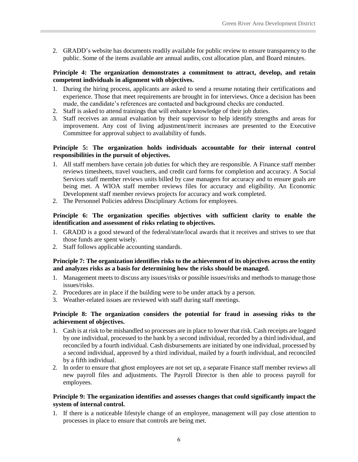2. GRADD's website has documents readily available for public review to ensure transparency to the public. Some of the items available are annual audits, cost allocation plan, and Board minutes.

#### **Principle 4: The organization demonstrates a commitment to attract, develop, and retain competent individuals in alignment with objectives.**

- 1. During the hiring process, applicants are asked to send a resume notating their certifications and experience. Those that meet requirements are brought in for interviews. Once a decision has been made, the candidate's references are contacted and background checks are conducted.
- 2. Staff is asked to attend trainings that will enhance knowledge of their job duties.
- 3. Staff receives an annual evaluation by their supervisor to help identify strengths and areas for improvement. Any cost of living adjustment/merit increases are presented to the Executive Committee for approval subject to availability of funds.

#### **Principle 5: The organization holds individuals accountable for their internal control responsibilities in the pursuit of objectives.**

- 1. All staff members have certain job duties for which they are responsible. A Finance staff member reviews timesheets, travel vouchers, and credit card forms for completion and accuracy. A Social Services staff member reviews units billed by case managers for accuracy and to ensure goals are being met. A WIOA staff member reviews files for accuracy and eligibility. An Economic Development staff member reviews projects for accuracy and work completed.
- 2. The Personnel Policies address Disciplinary Actions for employees.

#### **Principle 6: The organization specifies objectives with sufficient clarity to enable the identification and assessment of risks relating to objectives.**

- 1. GRADD is a good steward of the federal/state/local awards that it receives and strives to see that those funds are spent wisely.
- 2. Staff follows applicable accounting standards.

#### **Principle 7: The organization identifies risks to the achievement of its objectives across the entity and analyzes risks as a basis for determining how the risks should be managed.**

- 1. Management meets to discuss any issues/risks or possible issues/risks and methods to manage those issues/risks.
- 2. Procedures are in place if the building were to be under attack by a person.
- 3. Weather-related issues are reviewed with staff during staff meetings.

#### **Principle 8: The organization considers the potential for fraud in assessing risks to the achievement of objectives.**

- 1. Cash is at risk to be mishandled so processes are in place to lower that risk. Cash receipts are logged by one individual, processed to the bank by a second individual, recorded by a third individual, and reconciled by a fourth individual. Cash disbursements are initiated by one individual, processed by a second individual, approved by a third individual, mailed by a fourth individual, and reconciled by a fifth individual.
- 2. In order to ensure that ghost employees are not set up, a separate Finance staff member reviews all new payroll files and adjustments. The Payroll Director is then able to process payroll for employees.

#### **Principle 9: The organization identifies and assesses changes that could significantly impact the system of internal control.**

1. If there is a noticeable lifestyle change of an employee, management will pay close attention to processes in place to ensure that controls are being met.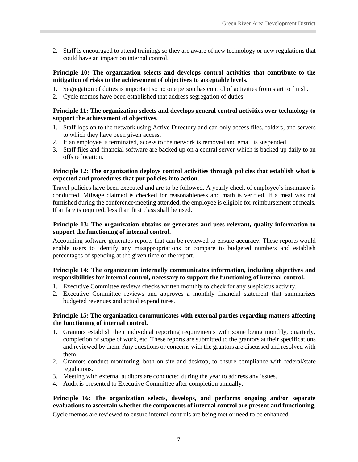2. Staff is encouraged to attend trainings so they are aware of new technology or new regulations that could have an impact on internal control.

#### **Principle 10: The organization selects and develops control activities that contribute to the mitigation of risks to the achievement of objectives to acceptable levels.**

- 1. Segregation of duties is important so no one person has control of activities from start to finish.
- 2. Cycle memos have been established that address segregation of duties.

#### **Principle 11: The organization selects and develops general control activities over technology to support the achievement of objectives.**

- 1. Staff logs on to the network using Active Directory and can only access files, folders, and servers to which they have been given access.
- 2. If an employee is terminated, access to the network is removed and email is suspended.
- 3. Staff files and financial software are backed up on a central server which is backed up daily to an offsite location.

#### **Principle 12: The organization deploys control activities through policies that establish what is expected and procedures that put policies into action.**

Travel policies have been executed and are to be followed. A yearly check of employee's insurance is conducted. Mileage claimed is checked for reasonableness and math is verified. If a meal was not furnished during the conference/meeting attended, the employee is eligible for reimbursement of meals. If airfare is required, less than first class shall be used.

#### **Principle 13: The organization obtains or generates and uses relevant, quality information to support the functioning of internal control.**

Accounting software generates reports that can be reviewed to ensure accuracy. These reports would enable users to identify any misappropriations or compare to budgeted numbers and establish percentages of spending at the given time of the report.

#### **Principle 14: The organization internally communicates information, including objectives and responsibilities for internal control, necessary to support the functioning of internal control.**

- 1. Executive Committee reviews checks written monthly to check for any suspicious activity.
- 2. Executive Committee reviews and approves a monthly financial statement that summarizes budgeted revenues and actual expenditures.

#### **Principle 15: The organization communicates with external parties regarding matters affecting the functioning of internal control.**

- 1. Grantors establish their individual reporting requirements with some being monthly, quarterly, completion of scope of work, etc. These reports are submitted to the grantors at their specifications and reviewed by them. Any questions or concerns with the grantors are discussed and resolved with them.
- 2. Grantors conduct monitoring, both on-site and desktop, to ensure compliance with federal/state regulations.
- 3. Meeting with external auditors are conducted during the year to address any issues.
- 4. Audit is presented to Executive Committee after completion annually.

#### **Principle 16: The organization selects, develops, and performs ongoing and/or separate evaluations to ascertain whether the components of internal control are present and functioning.**

Cycle memos are reviewed to ensure internal controls are being met or need to be enhanced.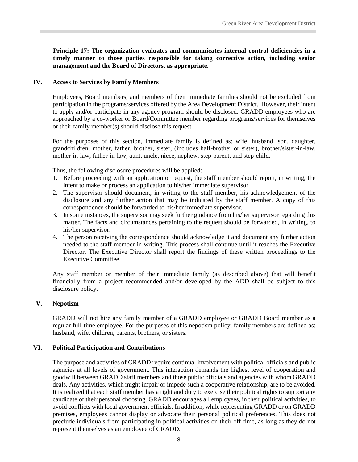**Principle 17: The organization evaluates and communicates internal control deficiencies in a timely manner to those parties responsible for taking corrective action, including senior management and the Board of Directors, as appropriate.**

#### <span id="page-13-0"></span>**IV. Access to Services by Family Members**

Employees, Board members, and members of their immediate families should not be excluded from participation in the programs/services offered by the Area Development District. However, their intent to apply and/or participate in any agency program should be disclosed. GRADD employees who are approached by a co-worker or Board/Committee member regarding programs/services for themselves or their family member(s) should disclose this request.

For the purposes of this section, immediate family is defined as: wife, husband, son, daughter, grandchildren, mother, father, brother, sister, (includes half-brother or sister), brother/sister-in-law, mother-in-law, father-in-law, aunt, uncle, niece, nephew, step-parent, and step-child.

Thus, the following disclosure procedures will be applied:

- 1. Before proceeding with an application or request, the staff member should report, in writing, the intent to make or process an application to his/her immediate supervisor.
- 2. The supervisor should document, in writing to the staff member, his acknowledgement of the disclosure and any further action that may be indicated by the staff member. A copy of this correspondence should be forwarded to his/her immediate supervisor.
- 3. In some instances, the supervisor may seek further guidance from his/her supervisor regarding this matter. The facts and circumstances pertaining to the request should be forwarded, in writing, to his/her supervisor.
- 4. The person receiving the correspondence should acknowledge it and document any further action needed to the staff member in writing. This process shall continue until it reaches the Executive Director. The Executive Director shall report the findings of these written proceedings to the Executive Committee.

Any staff member or member of their immediate family (as described above) that will benefit financially from a project recommended and/or developed by the ADD shall be subject to this disclosure policy.

#### <span id="page-13-1"></span>**V. Nepotism**

GRADD will not hire any family member of a GRADD employee or GRADD Board member as a regular full-time employee. For the purposes of this nepotism policy, family members are defined as: husband, wife, children, parents, brothers, or sisters.

#### <span id="page-13-2"></span>**VI. Political Participation and Contributions**

The purpose and activities of GRADD require continual involvement with political officials and public agencies at all levels of government. This interaction demands the highest level of cooperation and goodwill between GRADD staff members and those public officials and agencies with whom GRADD deals. Any activities, which might impair or impede such a cooperative relationship, are to be avoided. It is realized that each staff member has a right and duty to exercise their political rights to support any candidate of their personal choosing. GRADD encourages all employees, in their political activities, to avoid conflicts with local government officials. In addition, while representing GRADD or on GRADD premises, employees cannot display or advocate their personal political preferences. This does not preclude individuals from participating in political activities on their off-time, as long as they do not represent themselves as an employee of GRADD.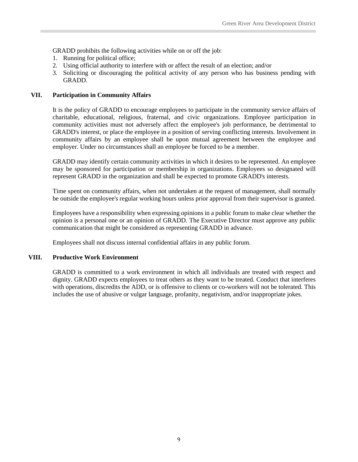GRADD prohibits the following activities while on or off the job:

- 1. Running for political office;
- 2. Using official authority to interfere with or affect the result of an election; and/or
- 3. Soliciting or discouraging the political activity of any person who has business pending with GRADD.

#### <span id="page-14-0"></span>**VII. Participation in Community Affairs**

It is the policy of GRADD to encourage employees to participate in the community service affairs of charitable, educational, religious, fraternal, and civic organizations. Employee participation in community activities must not adversely affect the employee's job performance, be detrimental to GRADD's interest, or place the employee in a position of serving conflicting interests. Involvement in community affairs by an employee shall be upon mutual agreement between the employee and employer. Under no circumstances shall an employee be forced to be a member.

GRADD may identify certain community activities in which it desires to be represented. An employee may be sponsored for participation or membership in organizations. Employees so designated will represent GRADD in the organization and shall be expected to promote GRADD's interests.

Time spent on community affairs, when not undertaken at the request of management, shall normally be outside the employee's regular working hours unless prior approval from their supervisor is granted.

Employees have a responsibility when expressing opinions in a public forum to make clear whether the opinion is a personal one or an opinion of GRADD. The Executive Director must approve any public communication that might be considered as representing GRADD in advance.

Employees shall not discuss internal confidential affairs in any public forum.

#### <span id="page-14-1"></span>**VIII. Productive Work Environment**

GRADD is committed to a work environment in which all individuals are treated with respect and dignity. GRADD expects employees to treat others as they want to be treated. Conduct that interferes with operations, discredits the ADD, or is offensive to clients or co-workers will not be tolerated. This includes the use of abusive or vulgar language, profanity, negativism, and/or inappropriate jokes.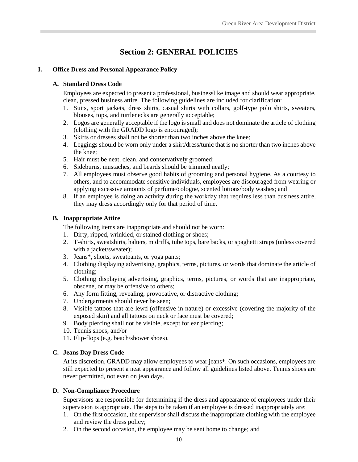## **Section 2: GENERAL POLICIES**

#### <span id="page-15-2"></span><span id="page-15-1"></span><span id="page-15-0"></span>**I. Office Dress and Personal Appearance Policy**

#### **A. Standard Dress Code**

Employees are expected to present a professional, businesslike image and should wear appropriate, clean, pressed business attire. The following guidelines are included for clarification:

- 1. Suits, sport jackets, dress shirts, casual shirts with collars, golf-type polo shirts, sweaters, blouses, tops, and turtlenecks are generally acceptable;
- 2. Logos are generally acceptable if the logo is small and does not dominate the article of clothing (clothing with the GRADD logo is encouraged);
- 3. Skirts or dresses shall not be shorter than two inches above the knee;
- 4. Leggings should be worn only under a skirt/dress/tunic that is no shorter than two inches above the knee;
- 5. Hair must be neat, clean, and conservatively groomed;
- 6. Sideburns, mustaches, and beards should be trimmed neatly;
- 7. All employees must observe good habits of grooming and personal hygiene. As a courtesy to others, and to accommodate sensitive individuals, employees are discouraged from wearing or applying excessive amounts of perfume/cologne, scented lotions/body washes; and
- 8. If an employee is doing an activity during the workday that requires less than business attire, they may dress accordingly only for that period of time.

#### <span id="page-15-3"></span>**B. Inappropriate Attire**

The following items are inappropriate and should not be worn:

- 1. Dirty, ripped, wrinkled, or stained clothing or shoes;
- 2. T-shirts, sweatshirts, halters, midriffs, tube tops, bare backs, or spaghetti straps (unless covered with a jacket/sweater);
- 3. Jeans\*, shorts, sweatpants, or yoga pants;
- 4. Clothing displaying advertising, graphics, terms, pictures, or words that dominate the article of clothing;
- 5. Clothing displaying advertising, graphics, terms, pictures, or words that are inappropriate, obscene, or may be offensive to others;
- 6. Any form fitting, revealing, provocative, or distractive clothing;
- 7. Undergarments should never be seen;
- 8. Visible tattoos that are lewd (offensive in nature) or excessive (covering the majority of the exposed skin) and all tattoos on neck or face must be covered;
- 9. Body piercing shall not be visible, except for ear piercing;
- 10. Tennis shoes; and/or
- 11. Flip-flops (e.g. beach/shower shoes).

#### <span id="page-15-4"></span>**C. Jeans Day Dress Code**

At its discretion, GRADD may allow employees to wear jeans\*. On such occasions, employees are still expected to present a neat appearance and follow all guidelines listed above. Tennis shoes are never permitted, not even on jean days.

#### <span id="page-15-5"></span>**D. Non-Compliance Procedure**

Supervisors are responsible for determining if the dress and appearance of employees under their supervision is appropriate. The steps to be taken if an employee is dressed inappropriately are:

- 1. On the first occasion, the supervisor shall discuss the inappropriate clothing with the employee and review the dress policy;
- 2. On the second occasion, the employee may be sent home to change; and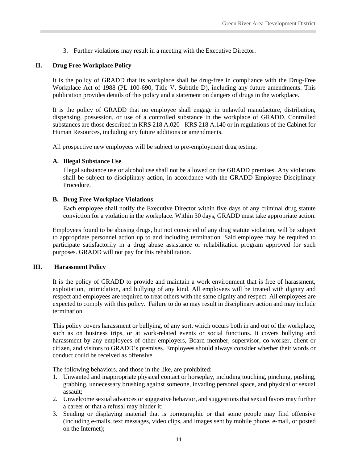3. Further violations may result in a meeting with the Executive Director.

#### <span id="page-16-0"></span>**II. Drug Free Workplace Policy**

It is the policy of GRADD that its workplace shall be drug-free in compliance with the Drug-Free Workplace Act of 1988 (PL 100-690, Title V, Subtitle D), including any future amendments. This publication provides details of this policy and a statement on dangers of drugs in the workplace.

It is the policy of GRADD that no employee shall engage in unlawful manufacture, distribution, dispensing, possession, or use of a controlled substance in the workplace of GRADD. Controlled substances are those described in KRS 218 A.020 - KRS 218 A.140 or in regulations of the Cabinet for Human Resources, including any future additions or amendments.

<span id="page-16-1"></span>All prospective new employees will be subject to pre-employment drug testing.

#### **A. Illegal Substance Use**

Illegal substance use or alcohol use shall not be allowed on the GRADD premises. Any violations shall be subject to disciplinary action, in accordance with the GRADD Employee Disciplinary Procedure.

#### <span id="page-16-2"></span>**B. Drug Free Workplace Violations**

Each employee shall notify the Executive Director within five days of any criminal drug statute conviction for a violation in the workplace. Within 30 days, GRADD must take appropriate action.

Employees found to be abusing drugs, but not convicted of any drug statute violation, will be subject to appropriate personnel action up to and including termination. Said employee may be required to participate satisfactorily in a drug abuse assistance or rehabilitation program approved for such purposes. GRADD will not pay for this rehabilitation.

#### **III. Harassment Policy**

<span id="page-16-3"></span>It is the policy of GRADD to provide and maintain a work environment that is free of harassment, exploitation, intimidation, and bullying of any kind. All employees will be treated with dignity and respect and employees are required to treat others with the same dignity and respect. All employees are expected to comply with this policy. Failure to do so may result in disciplinary action and may include termination.

This policy covers harassment or bullying, of any sort, which occurs both in and out of the workplace, such as on business trips, or at work-related events or social functions. It covers bullying and harassment by any employees of other employers, Board member, supervisor, co-worker, client or citizen, and visitors to GRADD's premises. Employees should always consider whether their words or conduct could be received as offensive.

The following behaviors, and those in the like, are prohibited:

- 1. Unwanted and inappropriate physical contact or horseplay, including touching, pinching, pushing, grabbing, unnecessary brushing against someone, invading personal space, and physical or sexual assault;
- 2. Unwelcome sexual advances or suggestive behavior, and suggestions that sexual favors may further a career or that a refusal may hinder it;
- 3. Sending or displaying material that is pornographic or that some people may find offensive (including e-mails, text messages, video clips, and images sent by mobile phone, e-mail, or posted on the Internet);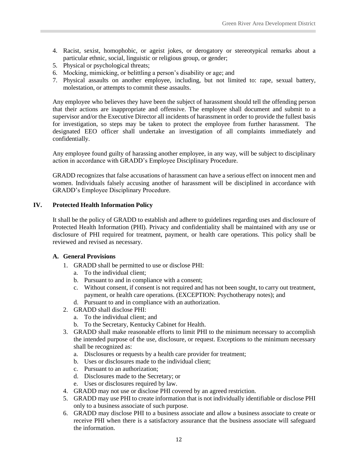- 4. Racist, sexist, homophobic, or ageist jokes, or derogatory or stereotypical remarks about a particular ethnic, social, linguistic or religious group, or gender;
- 5. Physical or psychological threats;
- 6. Mocking, mimicking, or belittling a person's disability or age; and
- 7. Physical assaults on another employee, including, but not limited to: rape, sexual battery, molestation, or attempts to commit these assaults.

Any employee who believes they have been the subject of harassment should tell the offending person that their actions are inappropriate and offensive. The employee shall document and submit to a supervisor and/or the Executive Director all incidents of harassment in order to provide the fullest basis for investigation, so steps may be taken to protect the employee from further harassment. The designated EEO officer shall undertake an investigation of all complaints immediately and confidentially.

Any employee found guilty of harassing another employee, in any way, will be subject to disciplinary action in accordance with GRADD's Employee Disciplinary Procedure.

GRADD recognizes that false accusations of harassment can have a serious effect on innocent men and women. Individuals falsely accusing another of harassment will be disciplined in accordance with GRADD's Employee Disciplinary Procedure.

#### <span id="page-17-0"></span>**IV. Protected Health Information Policy**

It shall be the policy of GRADD to establish and adhere to guidelines regarding uses and disclosure of Protected Health Information (PHI). Privacy and confidentiality shall be maintained with any use or disclosure of PHI required for treatment, payment, or health care operations. This policy shall be reviewed and revised as necessary.

#### <span id="page-17-1"></span>**A. General Provisions**

- 1. GRADD shall be permitted to use or disclose PHI:
	- a. To the individual client;
	- b. Pursuant to and in compliance with a consent;
	- c. Without consent, if consent is not required and has not been sought, to carry out treatment, payment, or health care operations. (EXCEPTION: Psychotherapy notes); and
	- d. Pursuant to and in compliance with an authorization.
- 2. GRADD shall disclose PHI:
	- a. To the individual client; and
	- b. To the Secretary, Kentucky Cabinet for Health.
- 3. GRADD shall make reasonable efforts to limit PHI to the minimum necessary to accomplish the intended purpose of the use, disclosure, or request. Exceptions to the minimum necessary shall be recognized as:
	- a. Disclosures or requests by a health care provider for treatment;
	- b. Uses or disclosures made to the individual client;
	- c. Pursuant to an authorization;
	- d. Disclosures made to the Secretary; or
	- e. Uses or disclosures required by law.
- 4. GRADD may not use or disclose PHI covered by an agreed restriction.
- 5. GRADD may use PHI to create information that is not individually identifiable or disclose PHI only to a business associate of such purpose.
- 6. GRADD may disclose PHI to a business associate and allow a business associate to create or receive PHI when there is a satisfactory assurance that the business associate will safeguard the information.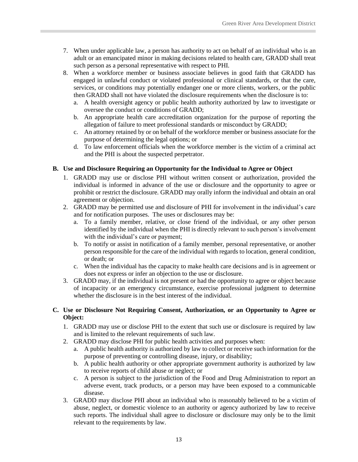- 7. When under applicable law, a person has authority to act on behalf of an individual who is an adult or an emancipated minor in making decisions related to health care, GRADD shall treat such person as a personal representative with respect to PHI.
- 8. When a workforce member or business associate believes in good faith that GRADD has engaged in unlawful conduct or violated professional or clinical standards, or that the care, services, or conditions may potentially endanger one or more clients, workers, or the public then GRADD shall not have violated the disclosure requirements when the disclosure is to:
	- a. A health oversight agency or public health authority authorized by law to investigate or oversee the conduct or conditions of GRADD;
	- b. An appropriate health care accreditation organization for the purpose of reporting the allegation of failure to meet professional standards or misconduct by GRADD;
	- c. An attorney retained by or on behalf of the workforce member or business associate for the purpose of determining the legal options; or
	- d. To law enforcement officials when the workforce member is the victim of a criminal act and the PHI is about the suspected perpetrator.

#### <span id="page-18-0"></span>**B. Use and Disclosure Requiring an Opportunity for the Individual to Agree or Object**

- 1. GRADD may use or disclose PHI without written consent or authorization, provided the individual is informed in advance of the use or disclosure and the opportunity to agree or prohibit or restrict the disclosure. GRADD may orally inform the individual and obtain an oral agreement or objection.
- 2. GRADD may be permitted use and disclosure of PHI for involvement in the individual's care and for notification purposes. The uses or disclosures may be:
	- a. To a family member, relative, or close friend of the individual, or any other person identified by the individual when the PHI is directly relevant to such person's involvement with the individual's care or payment;
	- b. To notify or assist in notification of a family member, personal representative, or another person responsible for the care of the individual with regards to location, general condition, or death; or
	- c. When the individual has the capacity to make health care decisions and is in agreement or does not express or infer an objection to the use or disclosure.
- 3. GRADD may, if the individual is not present or had the opportunity to agree or object because of incapacity or an emergency circumstance, exercise professional judgment to determine whether the disclosure is in the best interest of the individual.

#### <span id="page-18-1"></span>**C. Use or Disclosure Not Requiring Consent, Authorization, or an Opportunity to Agree or Object:**

- 1. GRADD may use or disclose PHI to the extent that such use or disclosure is required by law and is limited to the relevant requirements of such law.
- 2. GRADD may disclose PHI for public health activities and purposes when:
	- a. A public health authority is authorized by law to collect or receive such information for the purpose of preventing or controlling disease, injury, or disability;
	- b. A public health authority or other appropriate government authority is authorized by law to receive reports of child abuse or neglect; or
	- c. A person is subject to the jurisdiction of the Food and Drug Administration to report an adverse event, track products, or a person may have been exposed to a communicable disease.
- 3. GRADD may disclose PHI about an individual who is reasonably believed to be a victim of abuse, neglect, or domestic violence to an authority or agency authorized by law to receive such reports. The individual shall agree to disclosure or disclosure may only be to the limit relevant to the requirements by law.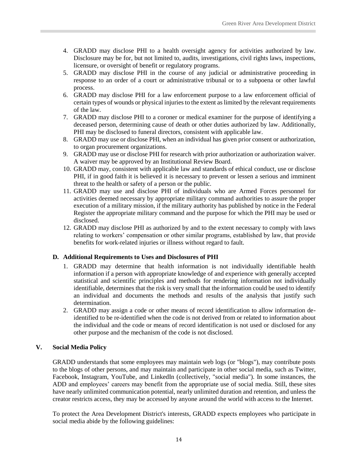- 4. GRADD may disclose PHI to a health oversight agency for activities authorized by law. Disclosure may be for, but not limited to, audits, investigations, civil rights laws, inspections, licensure, or oversight of benefit or regulatory programs.
- 5. GRADD may disclose PHI in the course of any judicial or administrative proceeding in response to an order of a court or administrative tribunal or to a subpoena or other lawful process.
- 6. GRADD may disclose PHI for a law enforcement purpose to a law enforcement official of certain types of wounds or physical injuries to the extent as limited by the relevant requirements of the law.
- 7. GRADD may disclose PHI to a coroner or medical examiner for the purpose of identifying a deceased person, determining cause of death or other duties authorized by law. Additionally, PHI may be disclosed to funeral directors, consistent with applicable law.
- 8. GRADD may use or disclose PHI, when an individual has given prior consent or authorization, to organ procurement organizations.
- 9. GRADD may use or disclose PHI for research with prior authorization or authorization waiver. A waiver may be approved by an Institutional Review Board.
- 10. GRADD may, consistent with applicable law and standards of ethical conduct, use or disclose PHI, if in good faith it is believed it is necessary to prevent or lessen a serious and imminent threat to the health or safety of a person or the public.
- 11. GRADD may use and disclose PHI of individuals who are Armed Forces personnel for activities deemed necessary by appropriate military command authorities to assure the proper execution of a military mission, if the military authority has published by notice in the Federal Register the appropriate military command and the purpose for which the PHI may be used or disclosed.
- 12. GRADD may disclose PHI as authorized by and to the extent necessary to comply with laws relating to workers' compensation or other similar programs, established by law, that provide benefits for work-related injuries or illness without regard to fault.

#### <span id="page-19-0"></span>**D. Additional Requirements to Uses and Disclosures of PHI**

- 1. GRADD may determine that health information is not individually identifiable health information if a person with appropriate knowledge of and experience with generally accepted statistical and scientific principles and methods for rendering information not individually identifiable, determines that the risk is very small that the information could be used to identify an individual and documents the methods and results of the analysis that justify such determination.
- 2. GRADD may assign a code or other means of record identification to allow information deidentified to be re-identified when the code is not derived from or related to information about the individual and the code or means of record identification is not used or disclosed for any other purpose and the mechanism of the code is not disclosed.

#### <span id="page-19-1"></span>**V. Social Media Policy**

GRADD understands that some employees may maintain web logs (or "blogs"), may contribute posts to the blogs of other persons, and may maintain and participate in other social media, such as Twitter, Facebook, Instagram, YouTube, and LinkedIn (collectively, "social media"). In some instances, the ADD and employees' careers may benefit from the appropriate use of social media. Still, these sites have nearly unlimited communication potential, nearly unlimited duration and retention, and unless the creator restricts access, they may be accessed by anyone around the world with access to the Internet.

To protect the Area Development District's interests, GRADD expects employees who participate in social media abide by the following guidelines: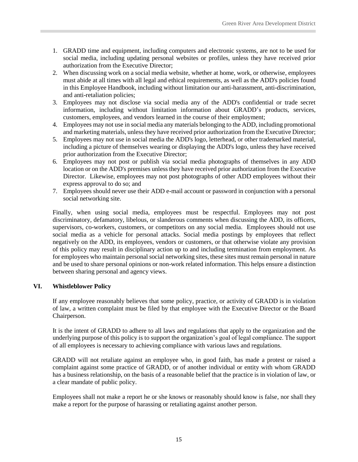- 1. GRADD time and equipment, including computers and electronic systems, are not to be used for social media, including updating personal websites or profiles, unless they have received prior authorization from the Executive Director;
- 2. When discussing work on a social media website, whether at home, work, or otherwise, employees must abide at all times with all legal and ethical requirements, as well as the ADD's policies found in this Employee Handbook, including without limitation our anti-harassment, anti-discrimination, and anti-retaliation policies;
- 3. Employees may not disclose via social media any of the ADD's confidential or trade secret information, including without limitation information about GRADD's products, services, customers, employees, and vendors learned in the course of their employment;
- 4. Employees may not use in social media any materials belonging to the ADD, including promotional and marketing materials, unless they have received prior authorization from the Executive Director;
- 5. Employees may not use in social media the ADD's logo, letterhead, or other trademarked material, including a picture of themselves wearing or displaying the ADD's logo, unless they have received prior authorization from the Executive Director;
- 6. Employees may not post or publish via social media photographs of themselves in any ADD location or on the ADD's premises unless they have received prior authorization from the Executive Director. Likewise, employees may not post photographs of other ADD employees without their express approval to do so; and
- 7. Employees should never use their ADD e-mail account or password in conjunction with a personal social networking site.

Finally, when using social media, employees must be respectful. Employees may not post discriminatory, defamatory, libelous, or slanderous comments when discussing the ADD, its officers, supervisors, co-workers, customers, or competitors on any social media. Employees should not use social media as a vehicle for personal attacks. Social media postings by employees that reflect negatively on the ADD, its employees, vendors or customers, or that otherwise violate any provision of this policy may result in disciplinary action up to and including termination from employment. As for employees who maintain personal social networking sites, these sites must remain personal in nature and be used to share personal opinions or non-work related information. This helps ensure a distinction between sharing personal and agency views.

#### <span id="page-20-0"></span>**VI. Whistleblower Policy**

If any employee reasonably believes that some policy, practice, or activity of GRADD is in violation of law, a written complaint must be filed by that employee with the Executive Director or the Board Chairperson.

It is the intent of GRADD to adhere to all laws and regulations that apply to the organization and the underlying purpose of this policy is to support the organization's goal of legal compliance. The support of all employees is necessary to achieving compliance with various laws and regulations.

GRADD will not retaliate against an employee who, in good faith, has made a protest or raised a complaint against some practice of GRADD, or of another individual or entity with whom GRADD has a business relationship, on the basis of a reasonable belief that the practice is in violation of law, or a clear mandate of public policy.

Employees shall not make a report he or she knows or reasonably should know is false, nor shall they make a report for the purpose of harassing or retaliating against another person.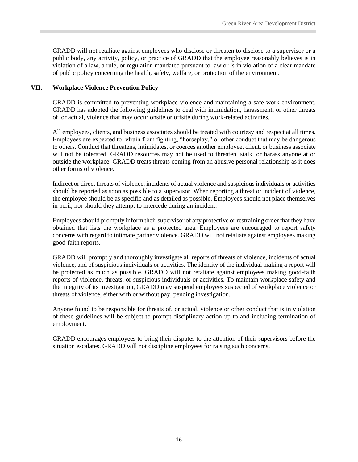GRADD will not retaliate against employees who disclose or threaten to disclose to a supervisor or a public body, any activity, policy, or practice of GRADD that the employee reasonably believes is in violation of a law, a rule, or regulation mandated pursuant to law or is in violation of a clear mandate of public policy concerning the health, safety, welfare, or protection of the environment.

#### <span id="page-21-0"></span>**VII. Workplace Violence Prevention Policy**

GRADD is committed to preventing workplace violence and maintaining a safe work environment. GRADD has adopted the following guidelines to deal with intimidation, harassment, or other threats of, or actual, violence that may occur onsite or offsite during work-related activities.

All employees, clients, and business associates should be treated with courtesy and respect at all times. Employees are expected to refrain from fighting, "horseplay," or other conduct that may be dangerous to others. Conduct that threatens, intimidates, or coerces another employee, client, or business associate will not be tolerated. GRADD resources may not be used to threaten, stalk, or harass anyone at or outside the workplace. GRADD treats threats coming from an abusive personal relationship as it does other forms of violence.

Indirect or direct threats of violence, incidents of actual violence and suspicious individuals or activities should be reported as soon as possible to a supervisor. When reporting a threat or incident of violence, the employee should be as specific and as detailed as possible. Employees should not place themselves in peril, nor should they attempt to intercede during an incident.

Employees should promptly inform their supervisor of any protective or restraining order that they have obtained that lists the workplace as a protected area. Employees are encouraged to report safety concerns with regard to intimate partner violence. GRADD will not retaliate against employees making good-faith reports.

GRADD will promptly and thoroughly investigate all reports of threats of violence, incidents of actual violence, and of suspicious individuals or activities. The identity of the individual making a report will be protected as much as possible. GRADD will not retaliate against employees making good-faith reports of violence, threats, or suspicious individuals or activities. To maintain workplace safety and the integrity of its investigation, GRADD may suspend employees suspected of workplace violence or threats of violence, either with or without pay, pending investigation.

Anyone found to be responsible for threats of, or actual, violence or other conduct that is in violation of these guidelines will be subject to prompt disciplinary action up to and including termination of employment.

GRADD encourages employees to bring their disputes to the attention of their supervisors before the situation escalates. GRADD will not discipline employees for raising such concerns.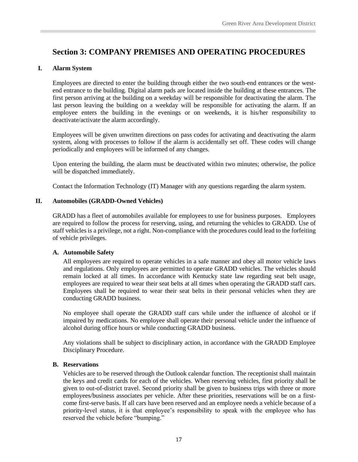## <span id="page-22-0"></span>**Section 3: COMPANY PREMISES AND OPERATING PROCEDURES**

#### <span id="page-22-1"></span>**I. Alarm System**

Employees are directed to enter the building through either the two south-end entrances or the westend entrance to the building. Digital alarm pads are located inside the building at these entrances. The first person arriving at the building on a weekday will be responsible for deactivating the alarm. The last person leaving the building on a weekday will be responsible for activating the alarm. If an employee enters the building in the evenings or on weekends, it is his/her responsibility to deactivate/activate the alarm accordingly.

Employees will be given unwritten directions on pass codes for activating and deactivating the alarm system, along with processes to follow if the alarm is accidentally set off. These codes will change periodically and employees will be informed of any changes.

Upon entering the building, the alarm must be deactivated within two minutes; otherwise, the police will be dispatched immediately.

Contact the Information Technology (IT) Manager with any questions regarding the alarm system.

#### <span id="page-22-2"></span>**II. Automobiles (GRADD-Owned Vehicles)**

GRADD has a fleet of automobiles available for employees to use for business purposes. Employees are required to follow the process for reserving, using, and returning the vehicles to GRADD. Use of staff vehicles is a privilege, not a right. Non-compliance with the procedures could lead to the forfeiting of vehicle privileges.

#### <span id="page-22-3"></span>**A. Automobile Safety**

All employees are required to operate vehicles in a safe manner and obey all motor vehicle laws and regulations. Only employees are permitted to operate GRADD vehicles. The vehicles should remain locked at all times. In accordance with Kentucky state law regarding seat belt usage, employees are required to wear their seat belts at all times when operating the GRADD staff cars. Employees shall be required to wear their seat belts in their personal vehicles when they are conducting GRADD business.

No employee shall operate the GRADD staff cars while under the influence of alcohol or if impaired by medications. No employee shall operate their personal vehicle under the influence of alcohol during office hours or while conducting GRADD business.

Any violations shall be subject to disciplinary action, in accordance with the GRADD Employee Disciplinary Procedure.

#### <span id="page-22-4"></span>**B. Reservations**

Vehicles are to be reserved through the Outlook calendar function. The receptionist shall maintain the keys and credit cards for each of the vehicles. When reserving vehicles, first priority shall be given to out-of-district travel. Second priority shall be given to business trips with three or more employees/business associates per vehicle. After these priorities, reservations will be on a firstcome first-serve basis. If all cars have been reserved and an employee needs a vehicle because of a priority-level status, it is that employee's responsibility to speak with the employee who has reserved the vehicle before "bumping."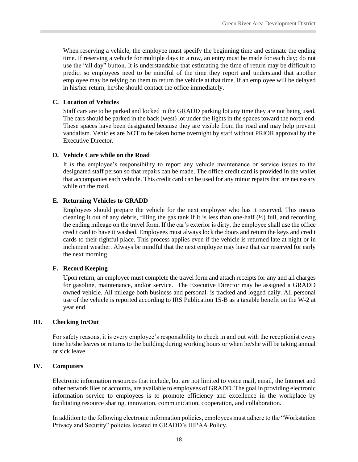When reserving a vehicle, the employee must specify the beginning time and estimate the ending time. If reserving a vehicle for multiple days in a row, an entry must be made for each day; do not use the "all day" button. It is understandable that estimating the time of return may be difficult to predict so employees need to be mindful of the time they report and understand that another employee may be relying on them to return the vehicle at that time. If an employee will be delayed in his/her return, he/she should contact the office immediately.

#### <span id="page-23-0"></span>**C. Location of Vehicles**

Staff cars are to be parked and locked in the GRADD parking lot any time they are not being used. The cars should be parked in the back (west) lot under the lights in the spaces toward the north end. These spaces have been designated because they are visible from the road and may help prevent vandalism. Vehicles are NOT to be taken home overnight by staff without PRIOR approval by the Executive Director.

#### <span id="page-23-1"></span>**D. Vehicle Care while on the Road**

It is the employee's responsibility to report any vehicle maintenance or service issues to the designated staff person so that repairs can be made. The office credit card is provided in the wallet that accompanies each vehicle. This credit card can be used for any minor repairs that are necessary while on the road.

#### <span id="page-23-2"></span>**E. Returning Vehicles to GRADD**

Employees should prepare the vehicle for the next employee who has it reserved. This means cleaning it out of any debris, filling the gas tank if it is less than one-half  $(\frac{1}{2})$  full, and recording the ending mileage on the travel form. If the car's exterior is dirty, the employee shall use the office credit card to have it washed. Employees must always lock the doors and return the keys and credit cards to their rightful place. This process applies even if the vehicle is returned late at night or in inclement weather. Always be mindful that the next employee may have that car reserved for early the next morning.

#### <span id="page-23-3"></span>**F. Record Keeping**

Upon return, an employee must complete the travel form and attach receipts for any and all charges for gasoline, maintenance, and/or service. The Executive Director may be assigned a GRADD owned vehicle. All mileage both business and personal is tracked and logged daily. All personal use of the vehicle is reported according to IRS Publication 15-B as a taxable benefit on the W-2 at year end.

#### <span id="page-23-4"></span>**III. Checking In/Out**

For safety reasons, it is every employee's responsibility to check in and out with the receptionist every time he/she leaves or returns to the building during working hours or when he/she will be taking annual or sick leave.

#### <span id="page-23-5"></span>**IV. Computers**

Electronic information resources that include, but are not limited to voice mail, email, the Internet and other network files or accounts, are available to employees of GRADD. The goal in providing electronic information service to employees is to promote efficiency and excellence in the workplace by facilitating resource sharing, innovation, communication, cooperation, and collaboration.

In addition to the following electronic information policies, employees must adhere to the "Workstation Privacy and Security" policies located in GRADD's HIPAA Policy.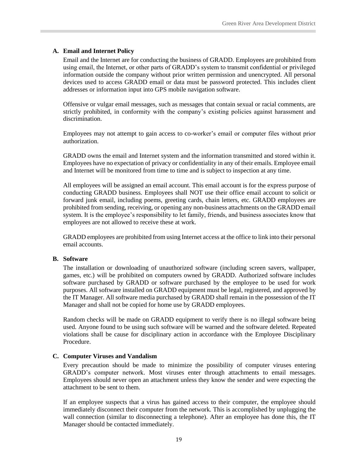#### <span id="page-24-0"></span>**A. Email and Internet Policy**

Email and the Internet are for conducting the business of GRADD. Employees are prohibited from using email, the Internet, or other parts of GRADD's system to transmit confidential or privileged information outside the company without prior written permission and unencrypted. All personal devices used to access GRADD email or data must be password protected. This includes client addresses or information input into GPS mobile navigation software.

Offensive or vulgar email messages, such as messages that contain sexual or racial comments, are strictly prohibited, in conformity with the company's existing policies against harassment and discrimination.

Employees may not attempt to gain access to co-worker's email or computer files without prior authorization.

GRADD owns the email and Internet system and the information transmitted and stored within it. Employees have no expectation of privacy or confidentiality in any of their emails. Employee email and Internet will be monitored from time to time and is subject to inspection at any time.

All employees will be assigned an email account. This email account is for the express purpose of conducting GRADD business. Employees shall NOT use their office email account to solicit or forward junk email, including poems, greeting cards, chain letters, etc. GRADD employees are prohibited from sending, receiving, or opening any non-business attachments on the GRADD email system. It is the employee's responsibility to let family, friends, and business associates know that employees are not allowed to receive these at work.

GRADD employees are prohibited from using Internet access at the office to link into their personal email accounts.

#### <span id="page-24-1"></span>**B. Software**

The installation or downloading of unauthorized software (including screen savers, wallpaper, games, etc.) will be prohibited on computers owned by GRADD. Authorized software includes software purchased by GRADD or software purchased by the employee to be used for work purposes. All software installed on GRADD equipment must be legal, registered, and approved by the IT Manager. All software media purchased by GRADD shall remain in the possession of the IT Manager and shall not be copied for home use by GRADD employees.

Random checks will be made on GRADD equipment to verify there is no illegal software being used. Anyone found to be using such software will be warned and the software deleted. Repeated violations shall be cause for disciplinary action in accordance with the Employee Disciplinary Procedure.

#### <span id="page-24-2"></span>**C. Computer Viruses and Vandalism**

Every precaution should be made to minimize the possibility of computer viruses entering GRADD's computer network. Most viruses enter through attachments to email messages. Employees should never open an attachment unless they know the sender and were expecting the attachment to be sent to them.

If an employee suspects that a virus has gained access to their computer, the employee should immediately disconnect their computer from the network. This is accomplished by unplugging the wall connection (similar to disconnecting a telephone). After an employee has done this, the IT Manager should be contacted immediately.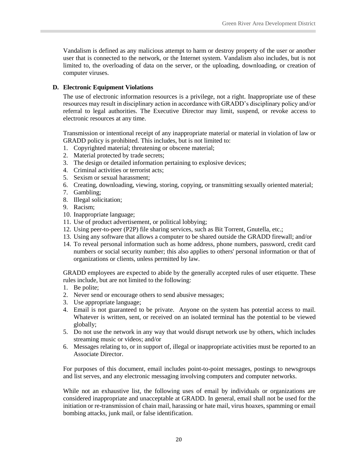Vandalism is defined as any malicious attempt to harm or destroy property of the user or another user that is connected to the network, or the Internet system. Vandalism also includes, but is not limited to, the overloading of data on the server, or the uploading, downloading, or creation of computer viruses.

#### <span id="page-25-0"></span>**D. Electronic Equipment Violations**

The use of electronic information resources is a privilege, not a right. Inappropriate use of these resources may result in disciplinary action in accordance with GRADD's disciplinary policy and/or referral to legal authorities. The Executive Director may limit, suspend, or revoke access to electronic resources at any time.

Transmission or intentional receipt of any inappropriate material or material in violation of law or GRADD policy is prohibited. This includes, but is not limited to:

- 1. Copyrighted material; threatening or obscene material;
- 2. Material protected by trade secrets;
- 3. The design or detailed information pertaining to explosive devices;
- 4. Criminal activities or terrorist acts;
- 5. Sexism or sexual harassment;
- 6. Creating, downloading, viewing, storing, copying, or transmitting sexually oriented material;
- 7. Gambling;
- 8. Illegal solicitation;
- 9. Racism;
- 10. Inappropriate language;
- 11. Use of product advertisement, or political lobbying;
- 12. Using peer-to-peer (P2P) file sharing services, such as Bit Torrent, Gnutella, etc.;
- 13. Using any software that allows a computer to be shared outside the GRADD firewall; and/or
- 14. To reveal personal information such as home address, phone numbers, password, credit card numbers or social security number; this also applies to others' personal information or that of organizations or clients, unless permitted by law.

GRADD employees are expected to abide by the generally accepted rules of user etiquette. These rules include, but are not limited to the following:

- 1. Be polite;
- 2. Never send or encourage others to send abusive messages;
- 3. Use appropriate language;
- 4. Email is not guaranteed to be private. Anyone on the system has potential access to mail. Whatever is written, sent, or received on an isolated terminal has the potential to be viewed globally;
- 5. Do not use the network in any way that would disrupt network use by others, which includes streaming music or videos; and/or
- 6. Messages relating to, or in support of, illegal or inappropriate activities must be reported to an Associate Director.

For purposes of this document, email includes point-to-point messages, postings to newsgroups and list serves, and any electronic messaging involving computers and computer networks.

While not an exhaustive list, the following uses of email by individuals or organizations are considered inappropriate and unacceptable at GRADD. In general, email shall not be used for the initiation or re-transmission of chain mail, harassing or hate mail, virus hoaxes, spamming or email bombing attacks, junk mail, or false identification.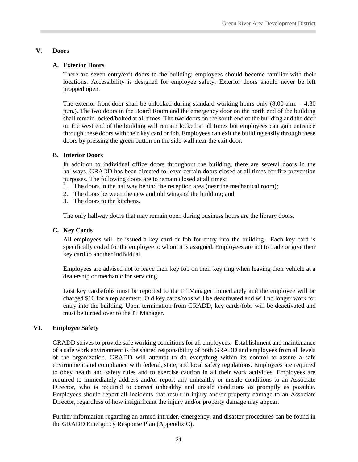#### <span id="page-26-1"></span><span id="page-26-0"></span>**V. Doors**

#### **A. Exterior Doors**

There are seven entry/exit doors to the building; employees should become familiar with their locations. Accessibility is designed for employee safety. Exterior doors should never be left propped open.

The exterior front door shall be unlocked during standard working hours only  $(8:00 \text{ a.m.} - 4:30$ p.m.). The two doors in the Board Room and the emergency door on the north end of the building shall remain locked/bolted at all times. The two doors on the south end of the building and the door on the west end of the building will remain locked at all times but employees can gain entrance through these doors with their key card or fob. Employees can exit the building easily through these doors by pressing the green button on the side wall near the exit door.

#### <span id="page-26-2"></span>**B. Interior Doors**

In addition to individual office doors throughout the building, there are several doors in the hallways. GRADD has been directed to leave certain doors closed at all times for fire prevention purposes. The following doors are to remain closed at all times:

- 1. The doors in the hallway behind the reception area (near the mechanical room);
- 2. The doors between the new and old wings of the building; and
- 3. The doors to the kitchens.

The only hallway doors that may remain open during business hours are the library doors.

#### <span id="page-26-3"></span>**C. Key Cards**

All employees will be issued a key card or fob for entry into the building. Each key card is specifically coded for the employee to whom it is assigned. Employees are not to trade or give their key card to another individual.

Employees are advised not to leave their key fob on their key ring when leaving their vehicle at a dealership or mechanic for servicing.

Lost key cards/fobs must be reported to the IT Manager immediately and the employee will be charged \$10 for a replacement. Old key cards/fobs will be deactivated and will no longer work for entry into the building. Upon termination from GRADD, key cards/fobs will be deactivated and must be turned over to the IT Manager.

#### <span id="page-26-4"></span>**VI. Employee Safety**

GRADD strives to provide safe working conditions for all employees. Establishment and maintenance of a safe work environment is the shared responsibility of both GRADD and employees from all levels of the organization. GRADD will attempt to do everything within its control to assure a safe environment and compliance with federal, state, and local safety regulations. Employees are required to obey health and safety rules and to exercise caution in all their work activities. Employees are required to immediately address and/or report any unhealthy or unsafe conditions to an Associate Director, who is required to correct unhealthy and unsafe conditions as promptly as possible. Employees should report all incidents that result in injury and/or property damage to an Associate Director, regardless of how insignificant the injury and/or property damage may appear.

Further information regarding an armed intruder, emergency, and disaster procedures can be found in the GRADD Emergency Response Plan (Appendix C).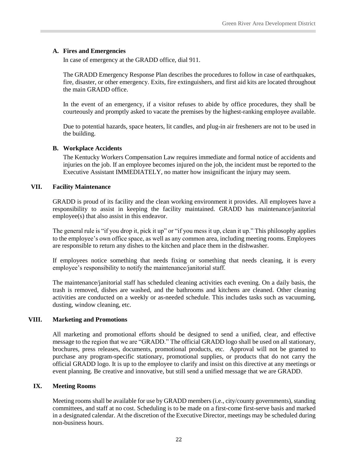#### <span id="page-27-0"></span>**A. Fires and Emergencies**

In case of emergency at the GRADD office, dial 911.

The GRADD Emergency Response Plan describes the procedures to follow in case of earthquakes, fire, disaster, or other emergency. Exits, fire extinguishers, and first aid kits are located throughout the main GRADD office.

In the event of an emergency, if a visitor refuses to abide by office procedures, they shall be courteously and promptly asked to vacate the premises by the highest-ranking employee available.

Due to potential hazards, space heaters, lit candles, and plug-in air fresheners are not to be used in the building.

#### <span id="page-27-1"></span>**B. Workplace Accidents**

The Kentucky Workers Compensation Law requires immediate and formal notice of accidents and injuries on the job. If an employee becomes injured on the job, the incident must be reported to the Executive Assistant IMMEDIATELY, no matter how insignificant the injury may seem.

#### <span id="page-27-2"></span>**VII. Facility Maintenance**

GRADD is proud of its facility and the clean working environment it provides. All employees have a responsibility to assist in keeping the facility maintained. GRADD has maintenance/janitorial employee(s) that also assist in this endeavor.

The general rule is "if you drop it, pick it up" or "if you mess it up, clean it up." This philosophy applies to the employee's own office space, as well as any common area, including meeting rooms. Employees are responsible to return any dishes to the kitchen and place them in the dishwasher.

If employees notice something that needs fixing or something that needs cleaning, it is every employee's responsibility to notify the maintenance/janitorial staff.

The maintenance/janitorial staff has scheduled cleaning activities each evening. On a daily basis, the trash is removed, dishes are washed, and the bathrooms and kitchens are cleaned. Other cleaning activities are conducted on a weekly or as-needed schedule. This includes tasks such as vacuuming, dusting, window cleaning, etc.

#### <span id="page-27-3"></span>**VIII. Marketing and Promotions**

All marketing and promotional efforts should be designed to send a unified, clear, and effective message to the region that we are "GRADD." The official GRADD logo shall be used on all stationary, brochures, press releases, documents, promotional products, etc. Approval will not be granted to purchase any program-specific stationary, promotional supplies, or products that do not carry the official GRADD logo. It is up to the employee to clarify and insist on this directive at any meetings or event planning. Be creative and innovative, but still send a unified message that we are GRADD.

#### <span id="page-27-4"></span>**IX. Meeting Rooms**

Meeting rooms shall be available for use by GRADD members (i.e., city/county governments), standing committees, and staff at no cost. Scheduling is to be made on a first-come first-serve basis and marked in a designated calendar. At the discretion of the Executive Director, meetings may be scheduled during non-business hours.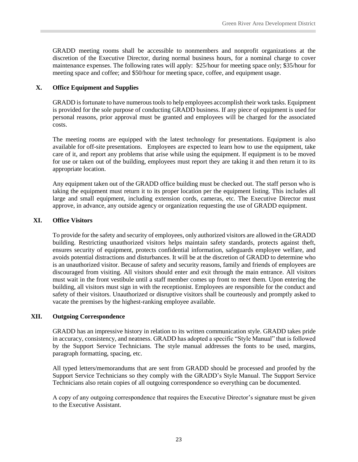GRADD meeting rooms shall be accessible to nonmembers and nonprofit organizations at the discretion of the Executive Director, during normal business hours, for a nominal charge to cover maintenance expenses. The following rates will apply: \$25/hour for meeting space only; \$35/hour for meeting space and coffee; and \$50/hour for meeting space, coffee, and equipment usage.

#### <span id="page-28-0"></span>**X. Office Equipment and Supplies**

GRADD is fortunate to have numerous tools to help employees accomplish their work tasks. Equipment is provided for the sole purpose of conducting GRADD business. If any piece of equipment is used for personal reasons, prior approval must be granted and employees will be charged for the associated costs.

The meeting rooms are equipped with the latest technology for presentations. Equipment is also available for off-site presentations. Employees are expected to learn how to use the equipment, take care of it, and report any problems that arise while using the equipment. If equipment is to be moved for use or taken out of the building, employees must report they are taking it and then return it to its appropriate location.

Any equipment taken out of the GRADD office building must be checked out. The staff person who is taking the equipment must return it to its proper location per the equipment listing. This includes all large and small equipment, including extension cords, cameras, etc. The Executive Director must approve, in advance, any outside agency or organization requesting the use of GRADD equipment.

#### <span id="page-28-1"></span>**XI. Office Visitors**

To provide for the safety and security of employees, only authorized visitors are allowed in the GRADD building. Restricting unauthorized visitors helps maintain safety standards, protects against theft, ensures security of equipment, protects confidential information, safeguards employee welfare, and avoids potential distractions and disturbances. It will be at the discretion of GRADD to determine who is an unauthorized visitor. Because of safety and security reasons, family and friends of employees are discouraged from visiting. All visitors should enter and exit through the main entrance. All visitors must wait in the front vestibule until a staff member comes up front to meet them. Upon entering the building, all visitors must sign in with the receptionist. Employees are responsible for the conduct and safety of their visitors. Unauthorized or disruptive visitors shall be courteously and promptly asked to vacate the premises by the highest-ranking employee available.

#### <span id="page-28-2"></span>**XII. Outgoing Correspondence**

GRADD has an impressive history in relation to its written communication style. GRADD takes pride in accuracy, consistency, and neatness. GRADD has adopted a specific "Style Manual" that is followed by the Support Service Technicians. The style manual addresses the fonts to be used, margins, paragraph formatting, spacing, etc.

All typed letters/memorandums that are sent from GRADD should be processed and proofed by the Support Service Technicians so they comply with the GRADD's Style Manual. The Support Service Technicians also retain copies of all outgoing correspondence so everything can be documented.

A copy of any outgoing correspondence that requires the Executive Director's signature must be given to the Executive Assistant.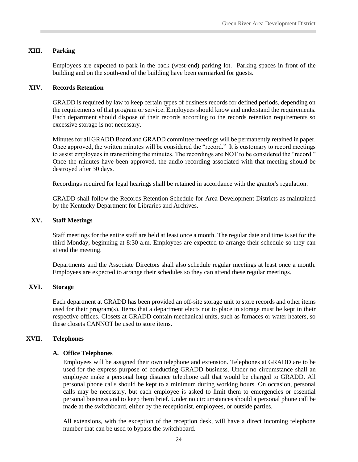#### <span id="page-29-0"></span>**XIII. Parking**

Employees are expected to park in the back (west-end) parking lot. Parking spaces in front of the building and on the south-end of the building have been earmarked for guests.

#### <span id="page-29-1"></span>**XIV. Records Retention**

GRADD is required by law to keep certain types of business records for defined periods, depending on the requirements of that program or service. Employees should know and understand the requirements. Each department should dispose of their records according to the records retention requirements so excessive storage is not necessary.

Minutes for all GRADD Board and GRADD committee meetings will be permanently retained in paper. Once approved, the written minutes will be considered the "record." It is customary to record meetings to assist employees in transcribing the minutes. The recordings are NOT to be considered the "record." Once the minutes have been approved, the audio recording associated with that meeting should be destroyed after 30 days.

Recordings required for legal hearings shall be retained in accordance with the grantor's regulation.

GRADD shall follow the Records Retention Schedule for Area Development Districts as maintained by the Kentucky Department for Libraries and Archives.

#### <span id="page-29-2"></span>**XV. Staff Meetings**

Staff meetings for the entire staff are held at least once a month. The regular date and time is set for the third Monday, beginning at 8:30 a.m. Employees are expected to arrange their schedule so they can attend the meeting.

Departments and the Associate Directors shall also schedule regular meetings at least once a month. Employees are expected to arrange their schedules so they can attend these regular meetings.

#### <span id="page-29-3"></span>**XVI. Storage**

Each department at GRADD has been provided an off-site storage unit to store records and other items used for their program(s). Items that a department elects not to place in storage must be kept in their respective offices. Closets at GRADD contain mechanical units, such as furnaces or water heaters, so these closets CANNOT be used to store items.

#### <span id="page-29-4"></span>**XVII. Telephones**

#### <span id="page-29-5"></span>**A. Office Telephones**

Employees will be assigned their own telephone and extension. Telephones at GRADD are to be used for the express purpose of conducting GRADD business. Under no circumstance shall an employee make a personal long distance telephone call that would be charged to GRADD. All personal phone calls should be kept to a minimum during working hours. On occasion, personal calls may be necessary, but each employee is asked to limit them to emergencies or essential personal business and to keep them brief. Under no circumstances should a personal phone call be made at the switchboard, either by the receptionist, employees, or outside parties.

All extensions, with the exception of the reception desk, will have a direct incoming telephone number that can be used to bypass the switchboard.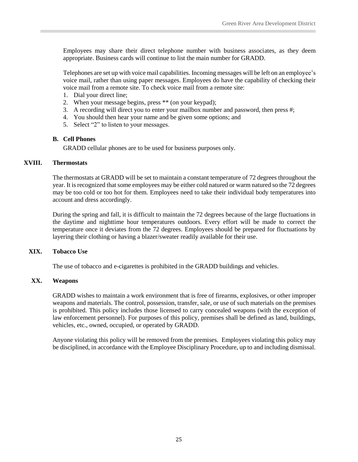Employees may share their direct telephone number with business associates, as they deem appropriate. Business cards will continue to list the main number for GRADD.

Telephones are set up with voice mail capabilities. Incoming messages will be left on an employee's voice mail, rather than using paper messages. Employees do have the capability of checking their voice mail from a remote site. To check voice mail from a remote site:

- 1. Dial your direct line;
- 2. When your message begins, press \*\* (on your keypad);
- 3. A recording will direct you to enter your mailbox number and password, then press #;
- 4. You should then hear your name and be given some options; and
- 5. Select "2" to listen to your messages.

#### <span id="page-30-0"></span>**B. Cell Phones**

GRADD cellular phones are to be used for business purposes only.

#### <span id="page-30-1"></span>**XVIII. Thermostats**

The thermostats at GRADD will be set to maintain a constant temperature of 72 degrees throughout the year. It is recognized that some employees may be either cold natured or warm natured so the 72 degrees may be too cold or too hot for them. Employees need to take their individual body temperatures into account and dress accordingly.

During the spring and fall, it is difficult to maintain the 72 degrees because of the large fluctuations in the daytime and nighttime hour temperatures outdoors. Every effort will be made to correct the temperature once it deviates from the 72 degrees. Employees should be prepared for fluctuations by layering their clothing or having a blazer/sweater readily available for their use.

#### <span id="page-30-2"></span>**XIX. Tobacco Use**

The use of tobacco and e-cigarettes is prohibited in the GRADD buildings and vehicles.

#### <span id="page-30-3"></span>**XX. Weapons**

GRADD wishes to maintain a work environment that is free of firearms, explosives, or other improper weapons and materials. The control, possession, transfer, sale, or use of such materials on the premises is prohibited. This policy includes those licensed to carry concealed weapons (with the exception of law enforcement personnel). For purposes of this policy, premises shall be defined as land, buildings, vehicles, etc., owned, occupied, or operated by GRADD.

Anyone violating this policy will be removed from the premises. Employees violating this policy may be disciplined, in accordance with the Employee Disciplinary Procedure, up to and including dismissal.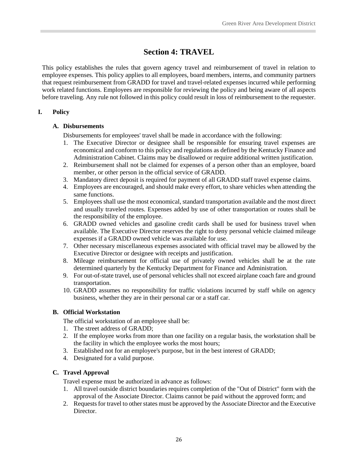## **Section 4: TRAVEL**

<span id="page-31-0"></span>This policy establishes the rules that govern agency travel and reimbursement of travel in relation to employee expenses. This policy applies to all employees, board members, interns, and community partners that request reimbursement from GRADD for travel and travel-related expenses incurred while performing work related functions. Employees are responsible for reviewing the policy and being aware of all aspects before traveling. Any rule not followed in this policy could result in loss of reimbursement to the requester.

#### <span id="page-31-2"></span><span id="page-31-1"></span>**I. Policy**

#### **A. Disbursements**

Disbursements for employees' travel shall be made in accordance with the following:

- 1. The Executive Director or designee shall be responsible for ensuring travel expenses are economical and conform to this policy and regulations as defined by the Kentucky Finance and Administration Cabinet. Claims may be disallowed or require additional written justification.
- 2. Reimbursement shall not be claimed for expenses of a person other than an employee, board member, or other person in the official service of GRADD.
- 3. Mandatory direct deposit is required for payment of all GRADD staff travel expense claims.
- 4. Employees are encouraged, and should make every effort, to share vehicles when attending the same functions.
- 5. Employees shall use the most economical, standard transportation available and the most direct and usually traveled routes. Expenses added by use of other transportation or routes shall be the responsibility of the employee.
- 6. GRADD owned vehicles and gasoline credit cards shall be used for business travel when available. The Executive Director reserves the right to deny personal vehicle claimed mileage expenses if a GRADD owned vehicle was available for use.
- 7. Other necessary miscellaneous expenses associated with official travel may be allowed by the Executive Director or designee with receipts and justification.
- 8. Mileage reimbursement for official use of privately owned vehicles shall be at the rate determined quarterly by the Kentucky Department for Finance and Administration.
- 9. For out-of-state travel, use of personal vehicles shall not exceed airplane coach fare and ground transportation.
- 10. GRADD assumes no responsibility for traffic violations incurred by staff while on agency business, whether they are in their personal car or a staff car.

#### <span id="page-31-3"></span>**B. Official Workstation**

The official workstation of an employee shall be:

- 1. The street address of GRADD;
- 2. If the employee works from more than one facility on a regular basis, the workstation shall be the facility in which the employee works the most hours;
- 3. Established not for an employee's purpose, but in the best interest of GRADD;
- 4. Designated for a valid purpose.

#### <span id="page-31-4"></span>**C. Travel Approval**

Travel expense must be authorized in advance as follows:

- 1. All travel outside district boundaries requires completion of the "Out of District" form with the approval of the Associate Director. Claims cannot be paid without the approved form; and
- 2. Requests for travel to other states must be approved by the Associate Director and the Executive Director.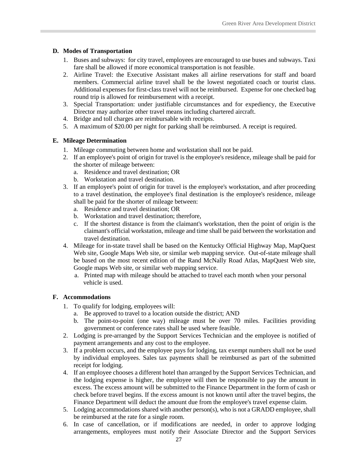#### <span id="page-32-0"></span>**D. Modes of Transportation**

- 1. Buses and subways: for city travel, employees are encouraged to use buses and subways. Taxi fare shall be allowed if more economical transportation is not feasible.
- 2. Airline Travel: the Executive Assistant makes all airline reservations for staff and board members. Commercial airline travel shall be the lowest negotiated coach or tourist class. Additional expenses for first-class travel will not be reimbursed. Expense for one checked bag round trip is allowed for reimbursement with a receipt.
- 3. Special Transportation: under justifiable circumstances and for expediency, the Executive Director may authorize other travel means including chartered aircraft.
- 4. Bridge and toll charges are reimbursable with receipts.
- 5. A maximum of \$20.00 per night for parking shall be reimbursed. A receipt is required.

#### <span id="page-32-1"></span>**E. Mileage Determination**

- 1. Mileage commuting between home and workstation shall not be paid.
- 2. If an employee's point of origin for travel is the employee's residence, mileage shall be paid for the shorter of mileage between:
	- a. Residence and travel destination; OR
	- b. Workstation and travel destination.
- 3. If an employee's point of origin for travel is the employee's workstation, and after proceeding to a travel destination, the employee's final destination is the employee's residence, mileage shall be paid for the shorter of mileage between:
	- a. Residence and travel destination; OR
	- b. Workstation and travel destination; therefore,
	- c. If the shortest distance is from the claimant's workstation, then the point of origin is the claimant's official workstation, mileage and time shall be paid between the workstation and travel destination.
- 4. Mileage for in-state travel shall be based on the Kentucky Official Highway Map, MapQuest Web site, Google Maps Web site, or similar web mapping service. Out-of-state mileage shall be based on the most recent edition of the Rand McNally Road Atlas, MapQuest Web site, Google maps Web site, or similar web mapping service.
	- a. Printed map with mileage should be attached to travel each month when your personal vehicle is used.

#### <span id="page-32-2"></span>**F. Accommodations**

- 1. To qualify for lodging, employees will:
	- a. Be approved to travel to a location outside the district; AND
	- b. The point-to-point (one way) mileage must be over 70 miles. Facilities providing government or conference rates shall be used where feasible.
- 2. Lodging is pre-arranged by the Support Services Technician and the employee is notified of payment arrangements and any cost to the employee.
- 3. If a problem occurs, and the employee pays for lodging, tax exempt numbers shall not be used by individual employees. Sales tax payments shall be reimbursed as part of the submitted receipt for lodging.
- 4. If an employee chooses a different hotel than arranged by the Support Services Technician, and the lodging expense is higher, the employee will then be responsible to pay the amount in excess. The excess amount will be submitted to the Finance Department in the form of cash or check before travel begins. If the excess amount is not known until after the travel begins, the Finance Department will deduct the amount due from the employee's travel expense claim.
- 5. Lodging accommodations shared with another person(s), who is not a GRADD employee, shall be reimbursed at the rate for a single room.
- 6. In case of cancellation, or if modifications are needed, in order to approve lodging arrangements, employees must notify their Associate Director and the Support Services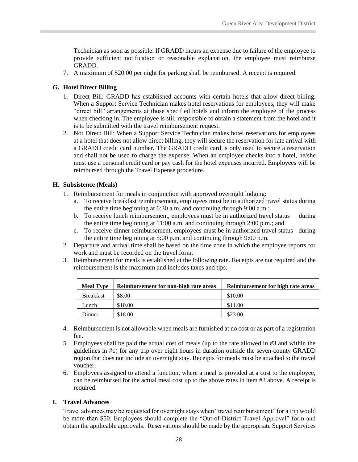Technician as soon as possible. If GRADD incurs an expense due to failure of the employee to provide sufficient notification or reasonable explanation, the employee must reimburse GRADD.

7. A maximum of \$20.00 per night for parking shall be reimbursed. A receipt is required.

#### <span id="page-33-0"></span>**G. Hotel Direct Billing**

- 1. Direct Bill: GRADD has established accounts with certain hotels that allow direct billing. When a Support Service Technician makes hotel reservations for employees, they will make "direct bill" arrangements at those specified hotels and inform the employee of the process when checking in. The employee is still responsible to obtain a statement from the hotel and it is to be submitted with the travel reimbursement request.
- 2. Not Direct Bill: When a Support Service Technician makes hotel reservations for employees at a hotel that does not allow direct billing, they will secure the reservation for late arrival with a GRADD credit card number. The GRADD credit card is only used to secure a reservation and shall not be used to charge the expense. When an employee checks into a hotel, he/she must use a personal credit card or pay cash for the hotel expenses incurred. Employees will be reimbursed through the Travel Expense procedure.

#### <span id="page-33-1"></span>**H. Subsistence (Meals)**

- 1. Reimbursement for meals in conjunction with approved overnight lodging:
	- a. To receive breakfast reimbursement, employees must be in authorized travel status during the entire time beginning at 6:30 a.m. and continuing through 9:00 a.m.;
	- b. To receive lunch reimbursement, employees must be in authorized travel status during the entire time beginning at 11:00 a.m. and continuing through 2:00 p.m.; and
	- c. To receive dinner reimbursement, employees must be in authorized travel status during the entire time beginning at 5:00 p.m. and continuing through 9:00 p.m.
- 2. Departure and arrival time shall be based on the time zone in which the employee reports for work and must be recorded on the travel form.
- 3. Reimbursement for meals is established at the following rate. Receipts are not required and the reimbursement is the maximum and includes taxes and tips.

| <b>Meal Type</b> | Reimbursement for non-high rate areas | Reimbursement for high rate areas |
|------------------|---------------------------------------|-----------------------------------|
| <b>Breakfast</b> | \$8.00                                | \$10.00                           |
| Lunch            | \$10.00                               | \$11.00                           |
| Dinner           | \$18.00                               | \$23.00                           |

- 4. Reimbursement is not allowable when meals are furnished at no cost or as part of a registration fee.
- 5. Employees shall be paid the actual cost of meals (up to the rate allowed in #3 and within the guidelines in #1) for any trip over eight hours in duration outside the seven-county GRADD region that does not include an overnight stay. Receipts for meals must be attached to the travel voucher.
- 6. Employees assigned to attend a function, where a meal is provided at a cost to the employee, can be reimbursed for the actual meal cost up to the above rates in item #3 above. A receipt is required.

#### <span id="page-33-2"></span>**I. Travel Advances**

Travel advances may be requested for overnight stays when "travel reimbursement" for a trip would be more than \$50. Employees should complete the "Out-of-District Travel Approval" form and obtain the applicable approvals. Reservations should be made by the appropriate Support Services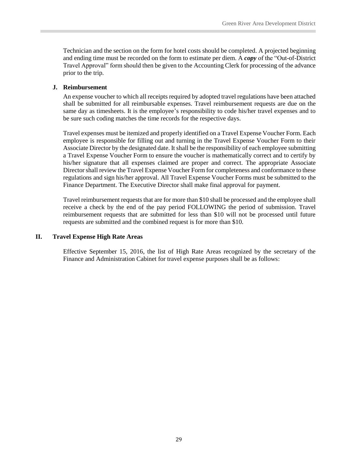Technician and the section on the form for hotel costs should be completed. A projected beginning and ending time must be recorded on the form to estimate per diem. A *copy* of the "Out-of-District Travel Approval" form should then be given to the Accounting Clerk for processing of the advance prior to the trip.

#### <span id="page-34-0"></span>**J. Reimbursement**

An expense voucher to which all receipts required by adopted travel regulations have been attached shall be submitted for all reimbursable expenses. Travel reimbursement requests are due on the same day as timesheets. It is the employee's responsibility to code his/her travel expenses and to be sure such coding matches the time records for the respective days.

Travel expenses must be itemized and properly identified on a Travel Expense Voucher Form. Each employee is responsible for filling out and turning in the Travel Expense Voucher Form to their Associate Director by the designated date. It shall be the responsibility of each employee submitting a Travel Expense Voucher Form to ensure the voucher is mathematically correct and to certify by his/her signature that all expenses claimed are proper and correct. The appropriate Associate Director shall review the Travel Expense Voucher Form for completeness and conformance to these regulations and sign his/her approval. All Travel Expense Voucher Forms must be submitted to the Finance Department. The Executive Director shall make final approval for payment.

Travel reimbursement requests that are for more than \$10 shall be processed and the employee shall receive a check by the end of the pay period FOLLOWING the period of submission. Travel reimbursement requests that are submitted for less than \$10 will not be processed until future requests are submitted and the combined request is for more than \$10.

#### <span id="page-34-1"></span>**II. Travel Expense High Rate Areas**

Effective September 15, 2016, the list of High Rate Areas recognized by the secretary of the Finance and Administration Cabinet for travel expense purposes shall be as follows: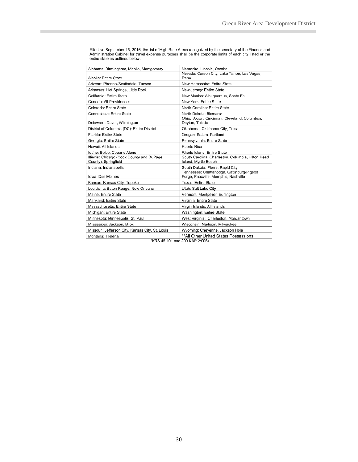| Alabama: Birmingham, Mobile, Montgomery                           | Nebraska: Lincoln, Omaha                                                          |
|-------------------------------------------------------------------|-----------------------------------------------------------------------------------|
| Alaska: Entire State                                              | Nevada: Carson City, Lake Tahoe, Las Vegas,<br>Reno                               |
| Arizona: Phoenix/Scottsdale, Tucson                               | New Hampshire: Entire State                                                       |
| Arkansas: Hot Springs, Little Rock                                | New Jersey: Entire State                                                          |
| California: Entire State                                          | New Mexico: Albuquerque, Santa Fe                                                 |
| Canada: All Providences                                           | New York: Entire State                                                            |
| Colorado: Entire State                                            | North Carolina: Entire State                                                      |
| Connecticut: Entire State                                         | North Dakota: Bismarck                                                            |
| Delaware: Dover, Wilmington                                       | Ohio: Akron, Cincinnati, Cleveland, Columbus,<br>Dayton, Toledo                   |
| District of Columbia (DC): Entire District                        | Oklahoma: Oklahoma City, Tulsa                                                    |
| Florida: Entire State                                             | Oregon: Salem, Portland                                                           |
| Georgia: Entire State                                             | Pennsylvania: Entire State                                                        |
| Hawaii: All Islands                                               | Puerto Rico                                                                       |
| Idaho: Boise, Coeur d'Alene                                       | Rhode Island: Entire State                                                        |
| Illinois: Chicago (Cook County and DuPage<br>County), Springfield | South Carolina: Charleston, Columbia, Hilton Head<br>Island, Myrtle Beach         |
| Indiana: Indianapolis                                             | South Dakota: Pierre, Rapid City                                                  |
| Iowa: Des Moines                                                  | Tennessee: Chattanooga, Gatlinburg/Pigeon<br>Forge, Knoxville, Memphis, Nashville |
| Kansas: Kansas City, Topeka                                       | <b>Texas: Entire State</b>                                                        |
| Louisiana: Baton Rouge, New Orleans                               | Utah: Salt Lake City                                                              |
| Maine: Entire State                                               | Vermont: Montpelier, Burlington                                                   |
| Maryland: Entire State                                            | Virginia: Entire State                                                            |
| Massachusetts: Entire State                                       | Virgin Islands: All Islands                                                       |
| Michigan: Entire State                                            | Washington: Entire State                                                          |
| Minnesota: Minneapolis, St. Paul                                  | West Virginia: Charleston, Morgantown                                             |
| Mississippi: Jackson, Biloxi                                      | Wisconsin: Madison, Milwaukee                                                     |
| Missouri: Jefferson City, Kansas City, St. Louis                  | Wyoming: Cheyenne, Jackson Hole                                                   |
| Montana: Helena                                                   | ** All Other United States Possessions                                            |

Effective September 15, 2016, the list of High Rate Areas recognized by the secretary of the Finance and<br>Administration Cabinet for travel expense purposes shall be the corporate limits of each city listed or the<br>entire st

(KRS 45.101 and 200 KAR 2:006)

30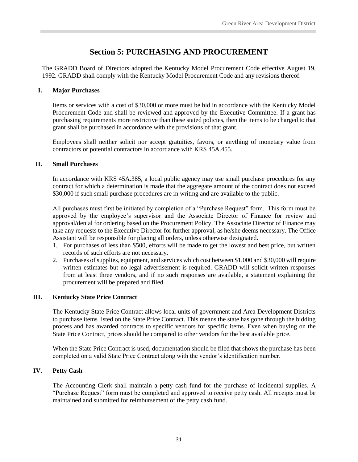## **Section 5: PURCHASING AND PROCUREMENT**

<span id="page-36-0"></span>The GRADD Board of Directors adopted the Kentucky Model Procurement Code effective August 19, 1992. GRADD shall comply with the Kentucky Model Procurement Code and any revisions thereof.

#### <span id="page-36-1"></span>**I. Major Purchases**

Items or services with a cost of \$30,000 or more must be bid in accordance with the Kentucky Model Procurement Code and shall be reviewed and approved by the Executive Committee. If a grant has purchasing requirements more restrictive than these stated policies, then the items to be charged to that grant shall be purchased in accordance with the provisions of that grant.

Employees shall neither solicit nor accept gratuities, favors, or anything of monetary value from contractors or potential contractors in accordance with KRS 45A.455.

#### <span id="page-36-2"></span>**II. Small Purchases**

In accordance with KRS 45A.385, a local public agency may use small purchase procedures for any contract for which a determination is made that the aggregate amount of the contract does not exceed \$30,000 if such small purchase procedures are in writing and are available to the public.

All purchases must first be initiated by completion of a "Purchase Request" form. This form must be approved by the employee's supervisor and the Associate Director of Finance for review and approval/denial for ordering based on the Procurement Policy. The Associate Director of Finance may take any requests to the Executive Director for further approval, as he/she deems necessary. The Office Assistant will be responsible for placing all orders, unless otherwise designated.

- 1. For purchases of less than \$500, efforts will be made to get the lowest and best price, but written records of such efforts are not necessary.
- 2. Purchases of supplies, equipment, and services which cost between \$1,000 and \$30,000 will require written estimates but no legal advertisement is required. GRADD will solicit written responses from at least three vendors, and if no such responses are available, a statement explaining the procurement will be prepared and filed.

#### <span id="page-36-3"></span>**III. Kentucky State Price Contract**

The Kentucky State Price Contract allows local units of government and Area Development Districts to purchase items listed on the State Price Contract. This means the state has gone through the bidding process and has awarded contracts to specific vendors for specific items. Even when buying on the State Price Contract, prices should be compared to other vendors for the best available price.

When the State Price Contract is used, documentation should be filed that shows the purchase has been completed on a valid State Price Contract along with the vendor's identification number.

#### <span id="page-36-4"></span>**IV. Petty Cash**

The Accounting Clerk shall maintain a petty cash fund for the purchase of incidental supplies. A "Purchase Request" form must be completed and approved to receive petty cash. All receipts must be maintained and submitted for reimbursement of the petty cash fund.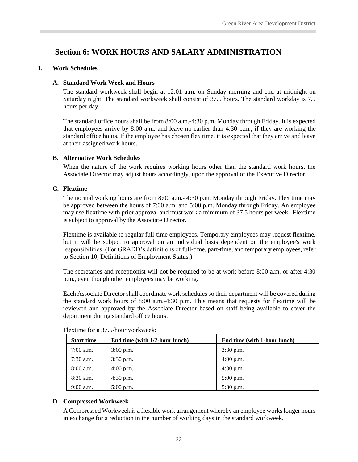## <span id="page-37-0"></span>**Section 6: WORK HOURS AND SALARY ADMINISTRATION**

#### <span id="page-37-2"></span><span id="page-37-1"></span>**I. Work Schedules**

#### **A. Standard Work Week and Hours**

The standard workweek shall begin at 12:01 a.m. on Sunday morning and end at midnight on Saturday night. The standard workweek shall consist of 37.5 hours. The standard workday is 7.5 hours per day.

The standard office hours shall be from 8:00 a.m.-4:30 p.m. Monday through Friday. It is expected that employees arrive by 8:00 a.m. and leave no earlier than 4:30 p.m., if they are working the standard office hours. If the employee has chosen flex time, it is expected that they arrive and leave at their assigned work hours.

#### <span id="page-37-3"></span>**B. Alternative Work Schedules**

When the nature of the work requires working hours other than the standard work hours, the Associate Director may adjust hours accordingly, upon the approval of the Executive Director.

#### <span id="page-37-4"></span>**C. Flextime**

The normal working hours are from 8:00 a.m.- 4:30 p.m. Monday through Friday. Flex time may be approved between the hours of 7:00 a.m. and 5:00 p.m. Monday through Friday. An employee may use flextime with prior approval and must work a minimum of 37.5 hours per week. Flextime is subject to approval by the Associate Director.

Flextime is available to regular full-time employees. Temporary employees may request flextime, but it will be subject to approval on an individual basis dependent on the employee's work responsibilities. (For GRADD's definitions of full-time, part-time, and temporary employees, refer to Section 10, Definitions of Employment Status.)

The secretaries and receptionist will not be required to be at work before 8:00 a.m. or after 4:30 p.m., even though other employees may be working.

Each Associate Director shall coordinate work schedules so their department will be covered during the standard work hours of 8:00 a.m.-4:30 p.m. This means that requests for flextime will be reviewed and approved by the Associate Director based on staff being available to cover the department during standard office hours.

| <b>Start time</b> | End time (with 1/2-hour lunch) | End time (with 1-hour lunch) |
|-------------------|--------------------------------|------------------------------|
| $7:00$ a.m.       | $3:00$ p.m.                    | $3:30$ p.m.                  |
| $7:30$ a.m.       | $3:30$ p.m.                    | $4:00$ p.m.                  |
| $8:00$ a.m.       | $4:00$ p.m.                    | $4:30$ p.m.                  |
| $8:30$ a.m.       | $4:30$ p.m.                    | $5:00$ p.m.                  |
| $9:00$ a.m.       | $5:00$ p.m.                    | $5:30$ p.m.                  |

Flextime for a 37.5-hour workweek:

#### <span id="page-37-5"></span>**D. Compressed Workweek**

A Compressed Workweek is a flexible work arrangement whereby an employee works longer hours in exchange for a reduction in the number of working days in the standard workweek.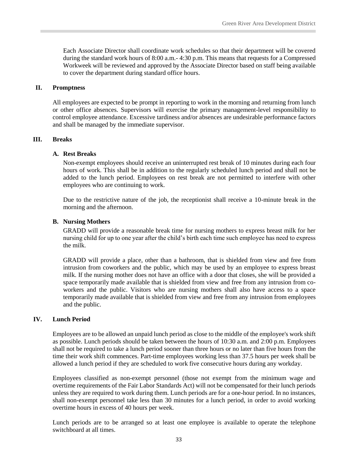Each Associate Director shall coordinate work schedules so that their department will be covered during the standard work hours of 8:00 a.m.- 4:30 p.m. This means that requests for a Compressed Workweek will be reviewed and approved by the Associate Director based on staff being available to cover the department during standard office hours.

#### <span id="page-38-0"></span>**II. Promptness**

All employees are expected to be prompt in reporting to work in the morning and returning from lunch or other office absences. Supervisors will exercise the primary management-level responsibility to control employee attendance. Excessive tardiness and/or absences are undesirable performance factors and shall be managed by the immediate supervisor.

#### <span id="page-38-2"></span><span id="page-38-1"></span>**III. Breaks**

#### **A. Rest Breaks**

Non-exempt employees should receive an uninterrupted rest break of 10 minutes during each four hours of work. This shall be in addition to the regularly scheduled lunch period and shall not be added to the lunch period. Employees on rest break are not permitted to interfere with other employees who are continuing to work.

Due to the restrictive nature of the job, the receptionist shall receive a 10-minute break in the morning and the afternoon.

#### <span id="page-38-3"></span>**B. Nursing Mothers**

GRADD will provide a reasonable break time for nursing mothers to express breast milk for her nursing child for up to one year after the child's birth each time such employee has need to express the milk.

GRADD will provide a place, other than a bathroom, that is shielded from view and free from intrusion from coworkers and the public, which may be used by an employee to express breast milk. If the nursing mother does not have an office with a door that closes, she will be provided a space temporarily made available that is shielded from view and free from any intrusion from coworkers and the public. Visitors who are nursing mothers shall also have access to a space temporarily made available that is shielded from view and free from any intrusion from employees and the public.

#### <span id="page-38-4"></span>**IV. Lunch Period**

Employees are to be allowed an unpaid lunch period as close to the middle of the employee's work shift as possible. Lunch periods should be taken between the hours of 10:30 a.m. and 2:00 p.m. Employees shall not be required to take a lunch period sooner than three hours or no later than five hours from the time their work shift commences. Part-time employees working less than 37.5 hours per week shall be allowed a lunch period if they are scheduled to work five consecutive hours during any workday.

Employees classified as non-exempt personnel (those not exempt from the minimum wage and overtime requirements of the Fair Labor Standards Act) will not be compensated for their lunch periods unless they are required to work during them. Lunch periods are for a one-hour period. In no instances, shall non-exempt personnel take less than 30 minutes for a lunch period, in order to avoid working overtime hours in excess of 40 hours per week.

Lunch periods are to be arranged so at least one employee is available to operate the telephone switchboard at all times.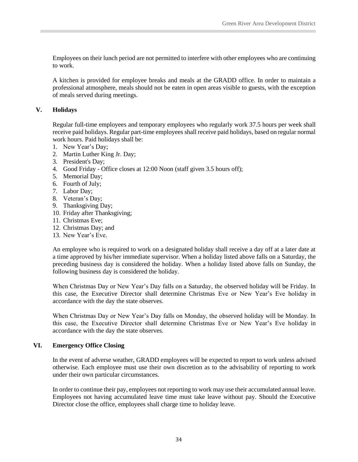Employees on their lunch period are not permitted to interfere with other employees who are continuing to work.

A kitchen is provided for employee breaks and meals at the GRADD office. In order to maintain a professional atmosphere, meals should not be eaten in open areas visible to guests, with the exception of meals served during meetings.

#### <span id="page-39-0"></span>**V. Holidays**

Regular full-time employees and temporary employees who regularly work 37.5 hours per week shall receive paid holidays. Regular part-time employees shall receive paid holidays, based on regular normal work hours. Paid holidays shall be:

- 1. New Year's Day;
- 2. Martin Luther King Jr. Day;
- 3. President's Day;
- 4. Good Friday Office closes at 12:00 Noon (staff given 3.5 hours off);
- 5. Memorial Day;
- 6. Fourth of July;
- 7. Labor Day;
- 8. Veteran's Day;
- 9. Thanksgiving Day;
- 10. Friday after Thanksgiving;
- 11. Christmas Eve;
- 12. Christmas Day; and
- 13. New Year's Eve.

An employee who is required to work on a designated holiday shall receive a day off at a later date at a time approved by his/her immediate supervisor. When a holiday listed above falls on a Saturday, the preceding business day is considered the holiday. When a holiday listed above falls on Sunday, the following business day is considered the holiday.

When Christmas Day or New Year's Day falls on a Saturday, the observed holiday will be Friday. In this case, the Executive Director shall determine Christmas Eve or New Year's Eve holiday in accordance with the day the state observes.

When Christmas Day or New Year's Day falls on Monday, the observed holiday will be Monday. In this case, the Executive Director shall determine Christmas Eve or New Year's Eve holiday in accordance with the day the state observes.

#### <span id="page-39-1"></span>**VI. Emergency Office Closing**

In the event of adverse weather, GRADD employees will be expected to report to work unless advised otherwise. Each employee must use their own discretion as to the advisability of reporting to work under their own particular circumstances.

In order to continue their pay, employees not reporting to work may use their accumulated annual leave. Employees not having accumulated leave time must take leave without pay. Should the Executive Director close the office, employees shall charge time to holiday leave.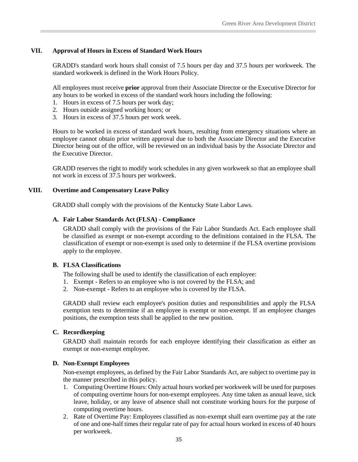#### <span id="page-40-0"></span>**VII. Approval of Hours in Excess of Standard Work Hours**

GRADD's standard work hours shall consist of 7.5 hours per day and 37.5 hours per workweek. The standard workweek is defined in the Work Hours Policy.

All employees must receive **prior** approval from their Associate Director or the Executive Director for any hours to be worked in excess of the standard work hours including the following:

- 1. Hours in excess of 7.5 hours per work day;
- 2. Hours outside assigned working hours; or
- 3. Hours in excess of 37.5 hours per work week.

Hours to be worked in excess of standard work hours, resulting from emergency situations where an employee cannot obtain prior written approval due to both the Associate Director and the Executive Director being out of the office, will be reviewed on an individual basis by the Associate Director and the Executive Director.

GRADD reserves the right to modify work schedules in any given workweek so that an employee shall not work in excess of 37.5 hours per workweek.

#### <span id="page-40-1"></span>**VIII. Overtime and Compensatory Leave Policy**

<span id="page-40-2"></span>GRADD shall comply with the provisions of the Kentucky State Labor Laws.

#### **A. Fair Labor Standards Act (FLSA) - Compliance**

GRADD shall comply with the provisions of the Fair Labor Standards Act. Each employee shall be classified as exempt or non-exempt according to the definitions contained in the FLSA. The classification of exempt or non-exempt is used only to determine if the FLSA overtime provisions apply to the employee.

#### <span id="page-40-3"></span>**B. FLSA Classifications**

The following shall be used to identify the classification of each employee:

- 1. Exempt Refers to an employee who is not covered by the FLSA; and
- 2. Non-exempt Refers to an employee who is covered by the FLSA.

GRADD shall review each employee's position duties and responsibilities and apply the FLSA exemption tests to determine if an employee is exempt or non-exempt. If an employee changes positions, the exemption tests shall be applied to the new position.

#### <span id="page-40-4"></span>**C. Recordkeeping**

GRADD shall maintain records for each employee identifying their classification as either an exempt or non-exempt employee.

#### <span id="page-40-5"></span>**D. Non-Exempt Employees**

Non-exempt employees, as defined by the Fair Labor Standards Act, are subject to overtime pay in the manner prescribed in this policy.

- 1. Computing Overtime Hours: Only actual hours worked per workweek will be used for purposes of computing overtime hours for non-exempt employees. Any time taken as annual leave, sick leave, holiday, or any leave of absence shall not constitute working hours for the purpose of computing overtime hours.
- 2. Rate of Overtime Pay: Employees classified as non-exempt shall earn overtime pay at the rate of one and one-half times their regular rate of pay for actual hours worked in excess of 40 hours per workweek.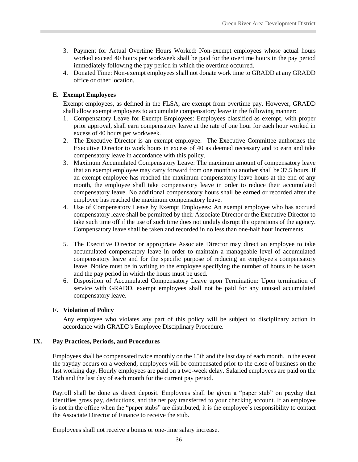- 3. Payment for Actual Overtime Hours Worked: Non-exempt employees whose actual hours worked exceed 40 hours per workweek shall be paid for the overtime hours in the pay period immediately following the pay period in which the overtime occurred.
- 4. Donated Time: Non-exempt employees shall not donate work time to GRADD at any GRADD office or other location.

#### <span id="page-41-0"></span>**E. Exempt Employees**

Exempt employees, as defined in the FLSA, are exempt from overtime pay. However, GRADD shall allow exempt employees to accumulate compensatory leave in the following manner:

- 1. Compensatory Leave for Exempt Employees: Employees classified as exempt, with proper prior approval, shall earn compensatory leave at the rate of one hour for each hour worked in excess of 40 hours per workweek.
- 2. The Executive Director is an exempt employee. The Executive Committee authorizes the Executive Director to work hours in excess of 40 as deemed necessary and to earn and take compensatory leave in accordance with this policy.
- 3. Maximum Accumulated Compensatory Leave: The maximum amount of compensatory leave that an exempt employee may carry forward from one month to another shall be 37.5 hours. If an exempt employee has reached the maximum compensatory leave hours at the end of any month, the employee shall take compensatory leave in order to reduce their accumulated compensatory leave. No additional compensatory hours shall be earned or recorded after the employee has reached the maximum compensatory leave.
- 4. Use of Compensatory Leave by Exempt Employees: An exempt employee who has accrued compensatory leave shall be permitted by their Associate Director or the Executive Director to take such time off if the use of such time does not unduly disrupt the operations of the agency. Compensatory leave shall be taken and recorded in no less than one-half hour increments.
- 5. The Executive Director or appropriate Associate Director may direct an employee to take accumulated compensatory leave in order to maintain a manageable level of accumulated compensatory leave and for the specific purpose of reducing an employee's compensatory leave. Notice must be in writing to the employee specifying the number of hours to be taken and the pay period in which the hours must be used.
- 6. Disposition of Accumulated Compensatory Leave upon Termination: Upon termination of service with GRADD, exempt employees shall not be paid for any unused accumulated compensatory leave.

#### <span id="page-41-1"></span>**F. Violation of Policy**

Any employee who violates any part of this policy will be subject to disciplinary action in accordance with GRADD's Employee Disciplinary Procedure.

#### <span id="page-41-2"></span>**IX. Pay Practices, Periods, and Procedures**

Employees shall be compensated twice monthly on the 15th and the last day of each month. In the event the payday occurs on a weekend, employees will be compensated prior to the close of business on the last working day. Hourly employees are paid on a two-week delay. Salaried employees are paid on the 15th and the last day of each month for the current pay period.

Payroll shall be done as direct deposit. Employees shall be given a "paper stub" on payday that identifies gross pay, deductions, and the net pay transferred to your checking account. If an employee is not in the office when the "paper stubs" are distributed, it is the employee's responsibility to contact the Associate Director of Finance to receive the stub.

Employees shall not receive a bonus or one-time salary increase.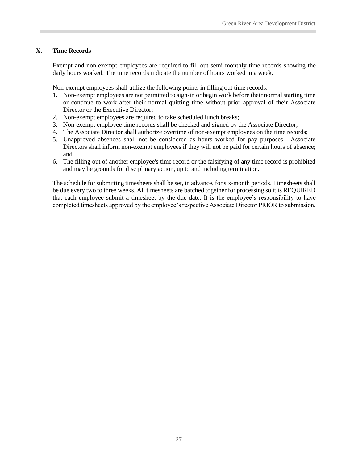#### <span id="page-42-0"></span>**X. Time Records**

Exempt and non-exempt employees are required to fill out semi-monthly time records showing the daily hours worked. The time records indicate the number of hours worked in a week.

Non-exempt employees shall utilize the following points in filling out time records:

- 1. Non-exempt employees are not permitted to sign-in or begin work before their normal starting time or continue to work after their normal quitting time without prior approval of their Associate Director or the Executive Director;
- 2. Non-exempt employees are required to take scheduled lunch breaks;
- 3. Non-exempt employee time records shall be checked and signed by the Associate Director;
- 4. The Associate Director shall authorize overtime of non-exempt employees on the time records;
- 5. Unapproved absences shall not be considered as hours worked for pay purposes. Associate Directors shall inform non-exempt employees if they will not be paid for certain hours of absence; and
- 6. The filling out of another employee's time record or the falsifying of any time record is prohibited and may be grounds for disciplinary action, up to and including termination.

The schedule for submitting timesheets shall be set, in advance, for six-month periods. Timesheets shall be due every two to three weeks. All timesheets are batched together for processing so it is REQUIRED that each employee submit a timesheet by the due date. It is the employee's responsibility to have completed timesheets approved by the employee's respective Associate Director PRIOR to submission.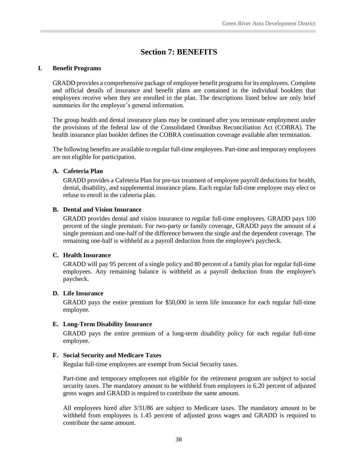## **Section 7: BENEFITS**

#### <span id="page-43-1"></span><span id="page-43-0"></span>**I. Benefit Programs**

GRADD provides a comprehensive package of employee benefit programs for its employees. Complete and official details of insurance and benefit plans are contained in the individual booklets that employees receive when they are enrolled in the plan. The descriptions listed below are only brief summaries for the employee's general information.

The group health and dental insurance plans may be continued after you terminate employment under the provisions of the federal law of the Consolidated Omnibus Reconciliation Act (COBRA). The health insurance plan booklet defines the COBRA continuation coverage available after termination.

The following benefits are available to regular full-time employees. Part-time and temporary employees are not eligible for participation.

#### <span id="page-43-2"></span>**A. Cafeteria Plan**

GRADD provides a Cafeteria Plan for pre-tax treatment of employee payroll deductions for health, dental, disability, and supplemental insurance plans. Each regular full-time employee may elect or refuse to enroll in the cafeteria plan.

#### <span id="page-43-3"></span>**B. Dental and Vision Insurance**

GRADD provides dental and vision insurance to regular full-time employees. GRADD pays 100 percent of the single premium. For two-party or family coverage, GRADD pays the amount of a single premium and one-half of the difference between the single and the dependent coverage. The remaining one-half is withheld as a payroll deduction from the employee's paycheck.

#### <span id="page-43-4"></span>**C. Health Insurance**

GRADD will pay 95 percent of a single policy and 80 percent of a family plan for regular full-time employees. Any remaining balance is withheld as a payroll deduction from the employee's paycheck.

#### <span id="page-43-5"></span>**D. Life Insurance**

GRADD pays the entire premium for \$50,000 in term life insurance for each regular full-time employee.

#### <span id="page-43-6"></span>**E. Long-Term Disability Insurance**

GRADD pays the entire premium of a long-term disability policy for each regular full-time employee.

#### <span id="page-43-7"></span>**F. Social Security and Medicare Taxes**

Regular full-time employees are exempt from Social Security taxes.

Part-time and temporary employees not eligible for the retirement program are subject to social security taxes. The mandatory amount to be withheld from employees is 6.20 percent of adjusted gross wages and GRADD is required to contribute the same amount.

All employees hired after 3/31/86 are subject to Medicare taxes. The mandatory amount to be withheld from employees is 1.45 percent of adjusted gross wages and GRADD is required to contribute the same amount.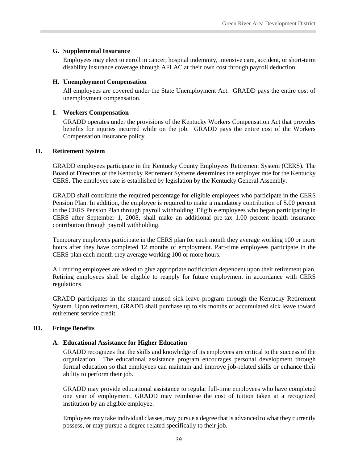#### <span id="page-44-0"></span>**G. Supplemental Insurance**

Employees may elect to enroll in cancer, hospital indemnity, intensive care, accident, or short-term disability insurance coverage through AFLAC at their own cost through payroll deduction.

#### <span id="page-44-1"></span>**H. Unemployment Compensation**

All employees are covered under the State Unemployment Act. GRADD pays the entire cost of unemployment compensation.

#### <span id="page-44-2"></span>**I. Workers Compensation**

GRADD operates under the provisions of the Kentucky Workers Compensation Act that provides benefits for injuries incurred while on the job. GRADD pays the entire cost of the Workers Compensation Insurance policy.

#### <span id="page-44-3"></span>**II. Retirement System**

GRADD employees participate in the Kentucky County Employees Retirement System (CERS). The Board of Directors of the Kentucky Retirement Systems determines the employer rate for the Kentucky CERS. The employee rate is established by legislation by the Kentucky General Assembly.

GRADD shall contribute the required percentage for eligible employees who participate in the CERS Pension Plan. In addition, the employee is required to make a mandatory contribution of 5.00 percent to the CERS Pension Plan through payroll withholding. Eligible employees who began participating in CERS after September 1, 2008, shall make an additional pre-tax 1.00 percent health insurance contribution through payroll withholding.

Temporary employees participate in the CERS plan for each month they average working 100 or more hours after they have completed 12 months of employment. Part-time employees participate in the CERS plan each month they average working 100 or more hours.

All retiring employees are asked to give appropriate notification dependent upon their retirement plan. Retiring employees shall be eligible to reapply for future employment in accordance with CERS regulations.

GRADD participates in the standard unused sick leave program through the Kentucky Retirement System. Upon retirement, GRADD shall purchase up to six months of accumulated sick leave toward retirement service credit.

#### <span id="page-44-5"></span><span id="page-44-4"></span>**III. Fringe Benefits**

#### **A. Educational Assistance for Higher Education**

GRADD recognizes that the skills and knowledge of its employees are critical to the success of the organization. The educational assistance program encourages personal development through formal education so that employees can maintain and improve job-related skills or enhance their ability to perform their job.

GRADD may provide educational assistance to regular full-time employees who have completed one year of employment. GRADD may reimburse the cost of tuition taken at a recognized institution by an eligible employee.

Employees may take individual classes, may pursue a degree that is advanced to what they currently possess, or may pursue a degree related specifically to their job.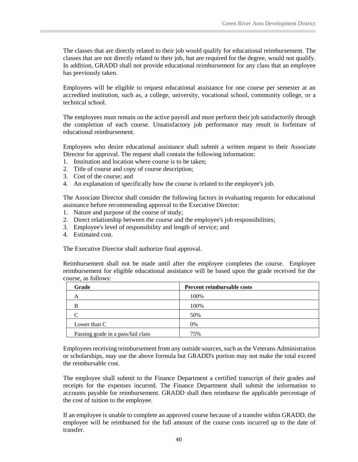The classes that are directly related to their job would qualify for educational reimbursement. The classes that are not directly related to their job, but are required for the degree, would not qualify. In addition, GRADD shall not provide educational reimbursement for any class that an employee has previously taken.

Employees will be eligible to request educational assistance for one course per semester at an accredited institution, such as, a college, university, vocational school, community college, or a technical school.

The employees must remain on the active payroll and must perform their job satisfactorily through the completion of each course. Unsatisfactory job performance may result in forfeiture of educational reimbursement.

Employees who desire educational assistance shall submit a written request to their Associate Director for approval. The request shall contain the following information:

- 1. Institution and location where course is to be taken;
- 2. Title of course and copy of course description;
- 3. Cost of the course; and
- 4. An explanation of specifically how the course is related to the employee's job.

The Associate Director shall consider the following factors in evaluating requests for educational assistance before recommending approval to the Executive Director:

- 1. Nature and purpose of the course of study;
- 2. Direct relationship between the course and the employee's job responsibilities;
- 3. Employee's level of responsibility and length of service; and
- 4. Estimated cost.

The Executive Director shall authorize final approval.

Reimbursement shall not be made until after the employee completes the course. Employee reimbursement for eligible educational assistance will be based upon the grade received for the course, as follows:

| Grade                              | Percent reimbursable costs |
|------------------------------------|----------------------------|
| А                                  | 100%                       |
| B                                  | 100%                       |
| ⌒                                  | 50%                        |
| Lower than C                       | 0%                         |
| Passing grade in a pass/fail class | 75%                        |

Employees receiving reimbursement from any outside sources, such as the Veterans Administration or scholarships, may use the above formula but GRADD's portion may not make the total exceed the reimbursable cost.

The employee shall submit to the Finance Department a certified transcript of their grades and receipts for the expenses incurred. The Finance Department shall submit the information to accounts payable for reimbursement. GRADD shall then reimburse the applicable percentage of the cost of tuition to the employee.

If an employee is unable to complete an approved course because of a transfer within GRADD, the employee will be reimbursed for the full amount of the course costs incurred up to the date of transfer.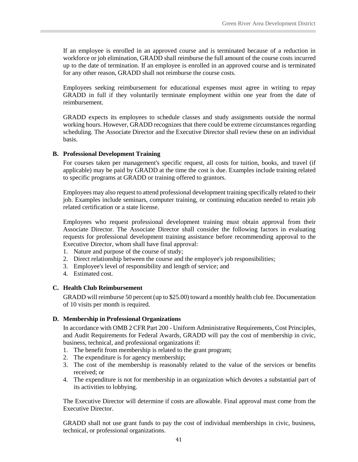If an employee is enrolled in an approved course and is terminated because of a reduction in workforce or job elimination, GRADD shall reimburse the full amount of the course costs incurred up to the date of termination. If an employee is enrolled in an approved course and is terminated for any other reason, GRADD shall not reimburse the course costs.

Employees seeking reimbursement for educational expenses must agree in writing to repay GRADD in full if they voluntarily terminate employment within one year from the date of reimbursement.

GRADD expects its employees to schedule classes and study assignments outside the normal working hours. However, GRADD recognizes that there could be extreme circumstances regarding scheduling. The Associate Director and the Executive Director shall review these on an individual basis.

#### <span id="page-46-0"></span>**B. Professional Development Training**

For courses taken per management's specific request, all costs for tuition, books, and travel (if applicable) may be paid by GRADD at the time the cost is due. Examples include training related to specific programs at GRADD or training offered to grantors.

Employees may also request to attend professional development training specifically related to their job. Examples include seminars, computer training, or continuing education needed to retain job related certification or a state license.

Employees who request professional development training must obtain approval from their Associate Director. The Associate Director shall consider the following factors in evaluating requests for professional development training assistance before recommending approval to the Executive Director, whom shall have final approval:

- 1. Nature and purpose of the course of study;
- 2. Direct relationship between the course and the employee's job responsibilities;
- 3. Employee's level of responsibility and length of service; and
- 4. Estimated cost.

#### <span id="page-46-1"></span>**C. Health Club Reimbursement**

GRADD will reimburse 50 percent (up to \$25.00) toward a monthly health club fee. Documentation of 10 visits per month is required.

#### <span id="page-46-2"></span>**D. Membership in Professional Organizations**

In accordance with OMB 2 CFR Part 200 - Uniform Administrative Requirements, Cost Principles, and Audit Requirements for Federal Awards, GRADD will pay the cost of membership in civic, business, technical, and professional organizations if:

- 1. The benefit from membership is related to the grant program;
- 2. The expenditure is for agency membership;
- 3. The cost of the membership is reasonably related to the value of the services or benefits received; or
- 4. The expenditure is not for membership in an organization which devotes a substantial part of its activities to lobbying.

The Executive Director will determine if costs are allowable. Final approval must come from the Executive Director.

GRADD shall not use grant funds to pay the cost of individual memberships in civic, business, technical, or professional organizations.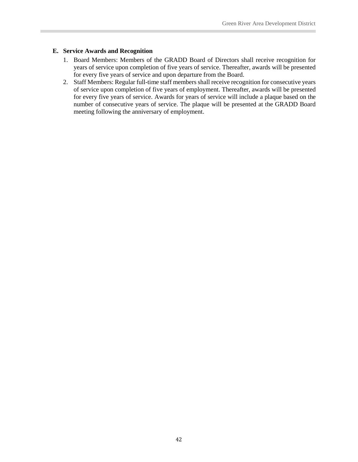#### <span id="page-47-0"></span>**E. Service Awards and Recognition**

- 1. Board Members: Members of the GRADD Board of Directors shall receive recognition for years of service upon completion of five years of service. Thereafter, awards will be presented for every five years of service and upon departure from the Board.
- 2. Staff Members: Regular full-time staff members shall receive recognition for consecutive years of service upon completion of five years of employment. Thereafter, awards will be presented for every five years of service. Awards for years of service will include a plaque based on the number of consecutive years of service. The plaque will be presented at the GRADD Board meeting following the anniversary of employment.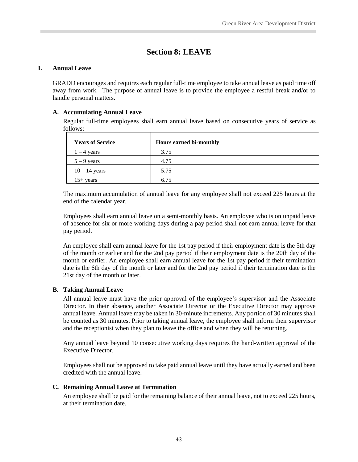## **Section 8: LEAVE**

#### <span id="page-48-1"></span><span id="page-48-0"></span>**I. Annual Leave**

GRADD encourages and requires each regular full-time employee to take annual leave as paid time off away from work. The purpose of annual leave is to provide the employee a restful break and/or to handle personal matters.

#### <span id="page-48-2"></span>**A. Accumulating Annual Leave**

Regular full-time employees shall earn annual leave based on consecutive years of service as follows:

| <b>Years of Service</b> | <b>Hours earned bi-monthly</b> |
|-------------------------|--------------------------------|
| $1 - 4$ years           | 3.75                           |
| $5 - 9$ years           | 4.75                           |
| $10 - 14$ years         | 5.75                           |
| $15+$ years             | 6.75                           |

The maximum accumulation of annual leave for any employee shall not exceed 225 hours at the end of the calendar year.

Employees shall earn annual leave on a semi-monthly basis. An employee who is on unpaid leave of absence for six or more working days during a pay period shall not earn annual leave for that pay period.

An employee shall earn annual leave for the 1st pay period if their employment date is the 5th day of the month or earlier and for the 2nd pay period if their employment date is the 20th day of the month or earlier. An employee shall earn annual leave for the 1st pay period if their termination date is the 6th day of the month or later and for the 2nd pay period if their termination date is the 21st day of the month or later.

#### <span id="page-48-3"></span>**B. Taking Annual Leave**

All annual leave must have the prior approval of the employee's supervisor and the Associate Director. In their absence, another Associate Director or the Executive Director may approve annual leave. Annual leave may be taken in 30-minute increments. Any portion of 30 minutes shall be counted as 30 minutes. Prior to taking annual leave, the employee shall inform their supervisor and the receptionist when they plan to leave the office and when they will be returning.

Any annual leave beyond 10 consecutive working days requires the hand-written approval of the Executive Director.

Employees shall not be approved to take paid annual leave until they have actually earned and been credited with the annual leave.

#### <span id="page-48-4"></span>**C. Remaining Annual Leave at Termination**

An employee shall be paid for the remaining balance of their annual leave, not to exceed 225 hours, at their termination date.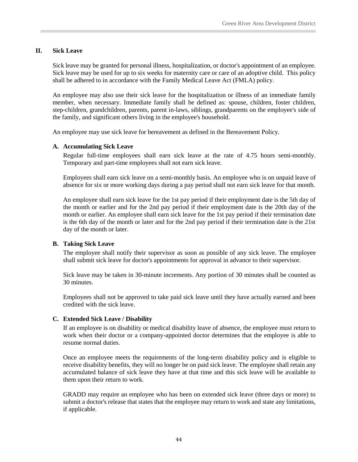#### <span id="page-49-0"></span>**II. Sick Leave**

Sick leave may be granted for personal illness, hospitalization, or doctor's appointment of an employee. Sick leave may be used for up to six weeks for maternity care or care of an adoptive child. This policy shall be adhered to in accordance with the Family Medical Leave Act (FMLA) policy.

An employee may also use their sick leave for the hospitalization or illness of an immediate family member, when necessary. Immediate family shall be defined as: spouse, children, foster children, step-children, grandchildren, parents, parent in-laws, siblings, grandparents on the employee's side of the family, and significant others living in the employee's household.

<span id="page-49-1"></span>An employee may use sick leave for bereavement as defined in the Bereavement Policy.

#### **A. Accumulating Sick Leave**

Regular full-time employees shall earn sick leave at the rate of 4.75 hours semi-monthly. Temporary and part-time employees shall not earn sick leave.

Employees shall earn sick leave on a semi-monthly basis. An employee who is on unpaid leave of absence for six or more working days during a pay period shall not earn sick leave for that month.

An employee shall earn sick leave for the 1st pay period if their employment date is the 5th day of the month or earlier and for the 2nd pay period if their employment date is the 20th day of the month or earlier. An employee shall earn sick leave for the 1st pay period if their termination date is the 6th day of the month or later and for the 2nd pay period if their termination date is the 21st day of the month or later.

#### <span id="page-49-2"></span>**B. Taking Sick Leave**

The employee shall notify their supervisor as soon as possible of any sick leave. The employee shall submit sick leave for doctor's appointments for approval in advance to their supervisor.

Sick leave may be taken in 30-minute increments. Any portion of 30 minutes shall be counted as 30 minutes.

Employees shall not be approved to take paid sick leave until they have actually earned and been credited with the sick leave.

#### <span id="page-49-3"></span>**C. Extended Sick Leave / Disability**

If an employee is on disability or medical disability leave of absence, the employee must return to work when their doctor or a company-appointed doctor determines that the employee is able to resume normal duties.

Once an employee meets the requirements of the long-term disability policy and is eligible to receive disability benefits, they will no longer be on paid sick leave. The employee shall retain any accumulated balance of sick leave they have at that time and this sick leave will be available to them upon their return to work.

GRADD may require an employee who has been on extended sick leave (three days or more) to submit a doctor's release that states that the employee may return to work and state any limitations, if applicable.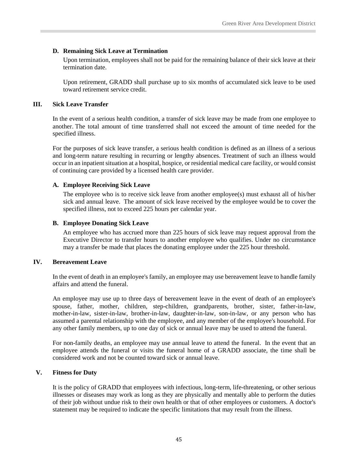#### <span id="page-50-0"></span>**D. Remaining Sick Leave at Termination**

Upon termination, employees shall not be paid for the remaining balance of their sick leave at their termination date.

Upon retirement, GRADD shall purchase up to six months of accumulated sick leave to be used toward retirement service credit.

#### <span id="page-50-1"></span>**III. Sick Leave Transfer**

In the event of a serious health condition, a transfer of sick leave may be made from one employee to another. The total amount of time transferred shall not exceed the amount of time needed for the specified illness.

For the purposes of sick leave transfer, a serious health condition is defined as an illness of a serious and long-term nature resulting in recurring or lengthy absences. Treatment of such an illness would occur in an inpatient situation at a hospital, hospice, or residential medical care facility, or would consist of continuing care provided by a licensed health care provider.

#### <span id="page-50-2"></span>**A. Employee Receiving Sick Leave**

The employee who is to receive sick leave from another employee(s) must exhaust all of his/her sick and annual leave. The amount of sick leave received by the employee would be to cover the specified illness, not to exceed 225 hours per calendar year.

#### <span id="page-50-3"></span>**B. Employee Donating Sick Leave**

An employee who has accrued more than 225 hours of sick leave may request approval from the Executive Director to transfer hours to another employee who qualifies. Under no circumstance may a transfer be made that places the donating employee under the 225 hour threshold.

#### <span id="page-50-4"></span>**IV. Bereavement Leave**

In the event of death in an employee's family, an employee may use bereavement leave to handle family affairs and attend the funeral.

An employee may use up to three days of bereavement leave in the event of death of an employee's spouse, father, mother, children, step-children, grandparents, brother, sister, father-in-law, mother-in-law, sister-in-law, brother-in-law, daughter-in-law, son-in-law, or any person who has assumed a parental relationship with the employee, and any member of the employee's household. For any other family members, up to one day of sick or annual leave may be used to attend the funeral.

For non-family deaths, an employee may use annual leave to attend the funeral. In the event that an employee attends the funeral or visits the funeral home of a GRADD associate, the time shall be considered work and not be counted toward sick or annual leave.

#### <span id="page-50-5"></span>**V. Fitness for Duty**

It is the policy of GRADD that employees with infectious, long-term, life-threatening, or other serious illnesses or diseases may work as long as they are physically and mentally able to perform the duties of their job without undue risk to their own health or that of other employees or customers. A doctor's statement may be required to indicate the specific limitations that may result from the illness.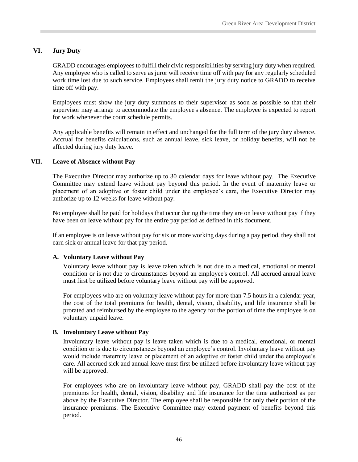#### <span id="page-51-0"></span>**VI. Jury Duty**

GRADD encourages employees to fulfill their civic responsibilities by serving jury duty when required. Any employee who is called to serve as juror will receive time off with pay for any regularly scheduled work time lost due to such service. Employees shall remit the jury duty notice to GRADD to receive time off with pay.

Employees must show the jury duty summons to their supervisor as soon as possible so that their supervisor may arrange to accommodate the employee's absence. The employee is expected to report for work whenever the court schedule permits.

Any applicable benefits will remain in effect and unchanged for the full term of the jury duty absence. Accrual for benefits calculations, such as annual leave, sick leave, or holiday benefits, will not be affected during jury duty leave.

#### <span id="page-51-1"></span>**VII. Leave of Absence without Pay**

The Executive Director may authorize up to 30 calendar days for leave without pay. The Executive Committee may extend leave without pay beyond this period. In the event of maternity leave or placement of an adoptive or foster child under the employee's care, the Executive Director may authorize up to 12 weeks for leave without pay.

No employee shall be paid for holidays that occur during the time they are on leave without pay if they have been on leave without pay for the entire pay period as defined in this document.

If an employee is on leave without pay for six or more working days during a pay period, they shall not earn sick or annual leave for that pay period.

#### <span id="page-51-2"></span>**A. Voluntary Leave without Pay**

Voluntary leave without pay is leave taken which is not due to a medical, emotional or mental condition or is not due to circumstances beyond an employee's control. All accrued annual leave must first be utilized before voluntary leave without pay will be approved.

For employees who are on voluntary leave without pay for more than 7.5 hours in a calendar year, the cost of the total premiums for health, dental, vision, disability, and life insurance shall be prorated and reimbursed by the employee to the agency for the portion of time the employee is on voluntary unpaid leave.

#### <span id="page-51-3"></span>**B. Involuntary Leave without Pay**

Involuntary leave without pay is leave taken which is due to a medical, emotional, or mental condition or is due to circumstances beyond an employee's control. Involuntary leave without pay would include maternity leave or placement of an adoptive or foster child under the employee's care. All accrued sick and annual leave must first be utilized before involuntary leave without pay will be approved.

For employees who are on involuntary leave without pay, GRADD shall pay the cost of the premiums for health, dental, vision, disability and life insurance for the time authorized as per above by the Executive Director. The employee shall be responsible for only their portion of the insurance premiums. The Executive Committee may extend payment of benefits beyond this period.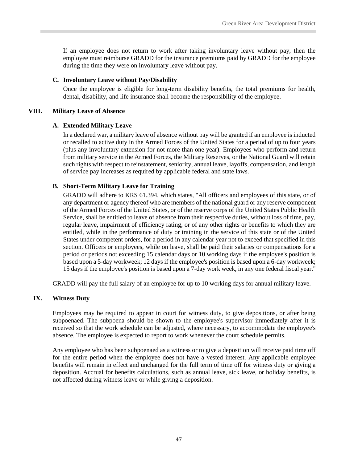If an employee does not return to work after taking involuntary leave without pay, then the employee must reimburse GRADD for the insurance premiums paid by GRADD for the employee during the time they were on involuntary leave without pay.

#### <span id="page-52-0"></span>**C. Involuntary Leave without Pay/Disability**

Once the employee is eligible for long-term disability benefits, the total premiums for health, dental, disability, and life insurance shall become the responsibility of the employee.

#### <span id="page-52-1"></span>**VIII. Military Leave of Absence**

#### <span id="page-52-2"></span>**A. Extended Military Leave**

In a declared war, a military leave of absence without pay will be granted if an employee is inducted or recalled to active duty in the Armed Forces of the United States for a period of up to four years (plus any involuntary extension for not more than one year). Employees who perform and return from military service in the Armed Forces, the Military Reserves, or the National Guard will retain such rights with respect to reinstatement, seniority, annual leave, layoffs, compensation, and length of service pay increases as required by applicable federal and state laws.

#### <span id="page-52-3"></span>**B. Short-Term Military Leave for Training**

GRADD will adhere to KRS 61.394, which states, "All officers and employees of this state, or of any department or agency thereof who are members of the national guard or any reserve component of the Armed Forces of the United States, or of the reserve corps of the United States Public Health Service, shall be entitled to leave of absence from their respective duties, without loss of time, pay, regular leave, impairment of efficiency rating, or of any other rights or benefits to which they are entitled, while in the performance of duty or training in the service of this state or of the United States under competent orders, for a period in any calendar year not to exceed that specified in this section. Officers or employees, while on leave, shall be paid their salaries or compensations for a period or periods not exceeding 15 calendar days or 10 working days if the employee's position is based upon a 5-day workweek; 12 days if the employee's position is based upon a 6-day workweek; 15 days if the employee's position is based upon a 7-day work week, in any one federal fiscal year."

GRADD will pay the full salary of an employee for up to 10 working days for annual military leave.

#### <span id="page-52-4"></span>**IX. Witness Duty**

Employees may be required to appear in court for witness duty, to give depositions, or after being subpoenaed. The subpoena should be shown to the employee's supervisor immediately after it is received so that the work schedule can be adjusted, where necessary, to accommodate the employee's absence. The employee is expected to report to work whenever the court schedule permits.

Any employee who has been subpoenaed as a witness or to give a deposition will receive paid time off for the entire period when the employee does not have a vested interest. Any applicable employee benefits will remain in effect and unchanged for the full term of time off for witness duty or giving a deposition. Accrual for benefits calculations, such as annual leave, sick leave, or holiday benefits, is not affected during witness leave or while giving a deposition.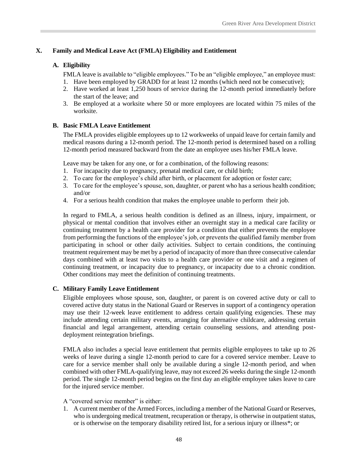#### <span id="page-53-1"></span><span id="page-53-0"></span>**X. Family and Medical Leave Act (FMLA) Eligibility and Entitlement**

#### **A. Eligibility**

FMLA leave is available to "eligible employees." To be an "eligible employee," an employee must:

- 1. Have been employed by GRADD for at least 12 months (which need not be consecutive);
- 2. Have worked at least 1,250 hours of service during the 12-month period immediately before the start of the leave; and
- 3. Be employed at a worksite where 50 or more employees are located within 75 miles of the worksite.

#### <span id="page-53-2"></span>**B. Basic FMLA Leave Entitlement**

The FMLA provides eligible employees up to 12 workweeks of unpaid leave for certain family and medical reasons during a 12-month period. The 12-month period is determined based on a rolling 12-month period measured backward from the date an employee uses his/her FMLA leave.

Leave may be taken for any one, or for a combination, of the following reasons:

- 1. For incapacity due to pregnancy, prenatal medical care, or child birth;
- 2. To care for the employee's child after birth, or placement for adoption or foster care;
- 3. To care for the employee's spouse, son, daughter, or parent who has a serious health condition; and/or
- 4. For a serious health condition that makes the employee unable to perform their job.

In regard to FMLA, a serious health condition is defined as an illness, injury, impairment, or physical or mental condition that involves either an overnight stay in a medical care facility or continuing treatment by a health care provider for a condition that either prevents the employee from performing the functions of the employee's job, or prevents the qualified family member from participating in school or other daily activities. Subject to certain conditions, the continuing treatment requirement may be met by a period of incapacity of more than three consecutive calendar days combined with at least two visits to a health care provider or one visit and a regimen of continuing treatment, or incapacity due to pregnancy, or incapacity due to a chronic condition. Other conditions may meet the definition of continuing treatments.

#### <span id="page-53-3"></span>**C. Military Family Leave Entitlement**

Eligible employees whose spouse, son, daughter, or parent is on covered active duty or call to covered active duty status in the National Guard or Reserves in support of a contingency operation may use their 12-week leave entitlement to address certain qualifying exigencies. These may include attending certain military events, arranging for alternative childcare, addressing certain financial and legal arrangement, attending certain counseling sessions, and attending postdeployment reintegration briefings.

FMLA also includes a special leave entitlement that permits eligible employees to take up to 26 weeks of leave during a single 12-month period to care for a covered service member. Leave to care for a service member shall only be available during a single 12-month period, and when combined with other FMLA-qualifying leave, may not exceed 26 weeks during the single 12-month period. The single 12-month period begins on the first day an eligible employee takes leave to care for the injured service member.

A "covered service member" is either:

1. A current member of the Armed Forces, including a member of the National Guard or Reserves, who is undergoing medical treatment, recuperation or therapy, is otherwise in outpatient status, or is otherwise on the temporary disability retired list, for a serious injury or illness\*; or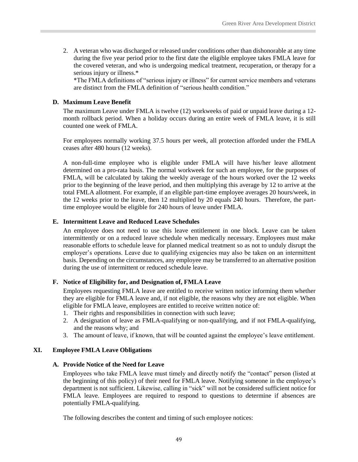2. A veteran who was discharged or released under conditions other than dishonorable at any time during the five year period prior to the first date the eligible employee takes FMLA leave for the covered veteran, and who is undergoing medical treatment, recuperation, or therapy for a serious injury or illness.\*

\*The FMLA definitions of "serious injury or illness" for current service members and veterans are distinct from the FMLA definition of "serious health condition."

#### <span id="page-54-0"></span>**D. Maximum Leave Benefit**

The maximum Leave under FMLA is twelve (12) workweeks of paid or unpaid leave during a 12 month rollback period. When a holiday occurs during an entire week of FMLA leave, it is still counted one week of FMLA.

For employees normally working 37.5 hours per week, all protection afforded under the FMLA ceases after 480 hours (12 weeks).

A non-full-time employee who is eligible under FMLA will have his/her leave allotment determined on a pro-rata basis. The normal workweek for such an employee, for the purposes of FMLA, will be calculated by taking the weekly average of the hours worked over the 12 weeks prior to the beginning of the leave period, and then multiplying this average by 12 to arrive at the total FMLA allotment. For example, if an eligible part-time employee averages 20 hours/week, in the 12 weeks prior to the leave, then 12 multiplied by 20 equals 240 hours. Therefore, the parttime employee would be eligible for 240 hours of leave under FMLA.

#### <span id="page-54-1"></span>**E. Intermittent Leave and Reduced Leave Schedules**

An employee does not need to use this leave entitlement in one block. Leave can be taken intermittently or on a reduced leave schedule when medically necessary. Employees must make reasonable efforts to schedule leave for planned medical treatment so as not to unduly disrupt the employer's operations. Leave due to qualifying exigencies may also be taken on an intermittent basis. Depending on the circumstances, any employee may be transferred to an alternative position during the use of intermittent or reduced schedule leave.

#### <span id="page-54-2"></span>**F. Notice of Eligibility for, and Designation of, FMLA Leave**

Employees requesting FMLA leave are entitled to receive written notice informing them whether they are eligible for FMLA leave and, if not eligible, the reasons why they are not eligible. When eligible for FMLA leave, employees are entitled to receive written notice of:

- 1. Their rights and responsibilities in connection with such leave;
- 2. A designation of leave as FMLA-qualifying or non-qualifying, and if not FMLA-qualifying, and the reasons why; and
- 3. The amount of leave, if known, that will be counted against the employee's leave entitlement.

#### <span id="page-54-4"></span><span id="page-54-3"></span>**XI. Employee FMLA Leave Obligations**

#### **A. Provide Notice of the Need for Leave**

Employees who take FMLA leave must timely and directly notify the "contact" person (listed at the beginning of this policy) of their need for FMLA leave. Notifying someone in the employee's department is not sufficient. Likewise, calling in "sick" will not be considered sufficient notice for FMLA leave. Employees are required to respond to questions to determine if absences are potentially FMLA-qualifying.

The following describes the content and timing of such employee notices: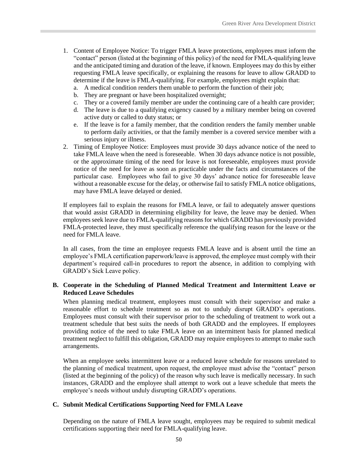- 1. Content of Employee Notice: To trigger FMLA leave protections, employees must inform the "contact" person (listed at the beginning of this policy) of the need for FMLA-qualifying leave and the anticipated timing and duration of the leave, if known. Employees may do this by either requesting FMLA leave specifically, or explaining the reasons for leave to allow GRADD to determine if the leave is FMLA-qualifying. For example, employees might explain that:
	- a. A medical condition renders them unable to perform the function of their job;
	- b. They are pregnant or have been hospitalized overnight;
	- c. They or a covered family member are under the continuing care of a health care provider;
	- d. The leave is due to a qualifying exigency caused by a military member being on covered active duty or called to duty status; or
	- e. If the leave is for a family member, that the condition renders the family member unable to perform daily activities, or that the family member is a covered service member with a serious injury or illness.
- 2. Timing of Employee Notice: Employees must provide 30 days advance notice of the need to take FMLA leave when the need is foreseeable. When 30 days advance notice is not possible, or the approximate timing of the need for leave is not foreseeable, employees must provide notice of the need for leave as soon as practicable under the facts and circumstances of the particular case. Employees who fail to give 30 days' advance notice for foreseeable leave without a reasonable excuse for the delay, or otherwise fail to satisfy FMLA notice obligations, may have FMLA leave delayed or denied.

If employees fail to explain the reasons for FMLA leave, or fail to adequately answer questions that would assist GRADD in determining eligibility for leave, the leave may be denied. When employees seek leave due to FMLA-qualifying reasons for which GRADD has previously provided FMLA-protected leave, they must specifically reference the qualifying reason for the leave or the need for FMLA leave.

In all cases, from the time an employee requests FMLA leave and is absent until the time an employee's FMLA certification paperwork/leave is approved, the employee must comply with their department's required call-in procedures to report the absence, in addition to complying with GRADD's Sick Leave policy.

#### <span id="page-55-0"></span>**B. Cooperate in the Scheduling of Planned Medical Treatment and Intermittent Leave or Reduced Leave Schedules**

When planning medical treatment, employees must consult with their supervisor and make a reasonable effort to schedule treatment so as not to unduly disrupt GRADD's operations. Employees must consult with their supervisor prior to the scheduling of treatment to work out a treatment schedule that best suits the needs of both GRADD and the employees. If employees providing notice of the need to take FMLA leave on an intermittent basis for planned medical treatment neglect to fulfill this obligation, GRADD may require employees to attempt to make such arrangements.

When an employee seeks intermittent leave or a reduced leave schedule for reasons unrelated to the planning of medical treatment, upon request, the employee must advise the "contact" person (listed at the beginning of the policy) of the reason why such leave is medically necessary. In such instances, GRADD and the employee shall attempt to work out a leave schedule that meets the employee's needs without unduly disrupting GRADD's operations.

#### <span id="page-55-1"></span>**C. Submit Medical Certifications Supporting Need for FMLA Leave**

Depending on the nature of FMLA leave sought, employees may be required to submit medical certifications supporting their need for FMLA-qualifying leave.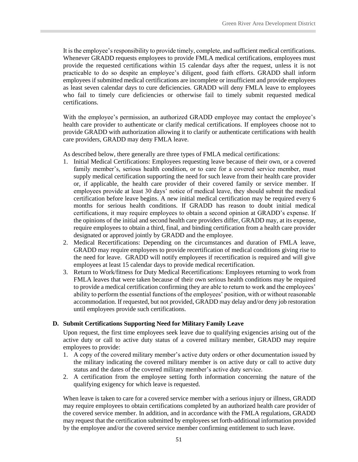It is the employee's responsibility to provide timely, complete, and sufficient medical certifications. Whenever GRADD requests employees to provide FMLA medical certifications, employees must provide the requested certifications within 15 calendar days after the request, unless it is not practicable to do so despite an employee's diligent, good faith efforts. GRADD shall inform employees if submitted medical certifications are incomplete or insufficient and provide employees as least seven calendar days to cure deficiencies. GRADD will deny FMLA leave to employees who fail to timely cure deficiencies or otherwise fail to timely submit requested medical certifications.

With the employee's permission, an authorized GRADD employee may contact the employee's health care provider to authenticate or clarify medical certifications. If employees choose not to provide GRADD with authorization allowing it to clarify or authenticate certifications with health care providers, GRADD may deny FMLA leave.

As described below, there generally are three types of FMLA medical certifications:

- 1. Initial Medical Certifications: Employees requesting leave because of their own, or a covered family member's, serious health condition, or to care for a covered service member, must supply medical certification supporting the need for such leave from their health care provider or, if applicable, the health care provider of their covered family or service member. If employees provide at least 30 days' notice of medical leave, they should submit the medical certification before leave begins. A new initial medical certification may be required every 6 months for serious health conditions. If GRADD has reason to doubt initial medical certifications, it may require employees to obtain a second opinion at GRADD's expense. If the opinions of the initial and second health care providers differ, GRADD may, at its expense, require employees to obtain a third, final, and binding certification from a health care provider designated or approved jointly by GRADD and the employee.
- 2. Medical Recertifications: Depending on the circumstances and duration of FMLA leave, GRADD may require employees to provide recertification of medical conditions giving rise to the need for leave. GRADD will notify employees if recertification is required and will give employees at least 15 calendar days to provide medical recertification.
- 3. Return to Work/fitness for Duty Medical Recertifications: Employees returning to work from FMLA leaves that were taken because of their own serious health conditions may be required to provide a medical certification confirming they are able to return to work and the employees' ability to perform the essential functions of the employees' position, with or without reasonable accommodation. If requested, but not provided, GRADD may delay and/or deny job restoration until employees provide such certifications.

#### <span id="page-56-0"></span>**D. Submit Certifications Supporting Need for Military Family Leave**

Upon request, the first time employees seek leave due to qualifying exigencies arising out of the active duty or call to active duty status of a covered military member, GRADD may require employees to provide:

- 1. A copy of the covered military member's active duty orders or other documentation issued by the military indicating the covered military member is on active duty or call to active duty status and the dates of the covered military member's active duty service.
- 2. A certification from the employee setting forth information concerning the nature of the qualifying exigency for which leave is requested.

When leave is taken to care for a covered service member with a serious injury or illness, GRADD may require employees to obtain certifications completed by an authorized health care provider of the covered service member. In addition, and in accordance with the FMLA regulations, GRADD may request that the certification submitted by employees set forth-additional information provided by the employee and/or the covered service member confirming entitlement to such leave.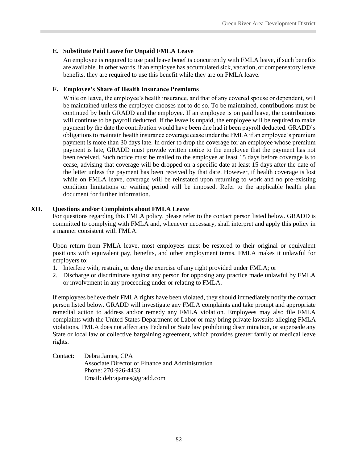#### <span id="page-57-0"></span>**E. Substitute Paid Leave for Unpaid FMLA Leave**

An employee is required to use paid leave benefits concurrently with FMLA leave, if such benefits are available. In other words, if an employee has accumulated sick, vacation, or compensatory leave benefits, they are required to use this benefit while they are on FMLA leave.

#### <span id="page-57-1"></span>**F. Employee's Share of Health Insurance Premiums**

While on leave, the employee's health insurance, and that of any covered spouse or dependent, will be maintained unless the employee chooses not to do so. To be maintained, contributions must be continued by both GRADD and the employee. If an employee is on paid leave, the contributions will continue to be payroll deducted. If the leave is unpaid, the employee will be required to make payment by the date the contribution would have been due had it been payroll deducted. GRADD's obligations to maintain health insurance coverage cease under the FMLA if an employee's premium payment is more than 30 days late. In order to drop the coverage for an employee whose premium payment is late, GRADD must provide written notice to the employee that the payment has not been received. Such notice must be mailed to the employee at least 15 days before coverage is to cease, advising that coverage will be dropped on a specific date at least 15 days after the date of the letter unless the payment has been received by that date. However, if health coverage is lost while on FMLA leave, coverage will be reinstated upon returning to work and no pre-existing condition limitations or waiting period will be imposed. Refer to the applicable health plan document for further information.

#### <span id="page-57-2"></span>**XII. Questions and/or Complaints about FMLA Leave**

For questions regarding this FMLA policy, please refer to the contact person listed below. GRADD is committed to complying with FMLA and, whenever necessary, shall interpret and apply this policy in a manner consistent with FMLA.

Upon return from FMLA leave, most employees must be restored to their original or equivalent positions with equivalent pay, benefits, and other employment terms. FMLA makes it unlawful for employers to:

- 1. Interfere with, restrain, or deny the exercise of any right provided under FMLA; or
- 2. Discharge or discriminate against any person for opposing any practice made unlawful by FMLA or involvement in any proceeding under or relating to FMLA.

If employees believe their FMLA rights have been violated, they should immediately notify the contact person listed below. GRADD will investigate any FMLA complaints and take prompt and appropriate remedial action to address and/or remedy any FMLA violation. Employees may also file FMLA complaints with the United States Department of Labor or may bring private lawsuits alleging FMLA violations. FMLA does not affect any Federal or State law prohibiting discrimination, or supersede any State or local law or collective bargaining agreement, which provides greater family or medical leave rights.

Contact: Debra James, CPA Associate Director of Finance and Administration Phone: 270-926-4433 Email: debrajames@gradd.com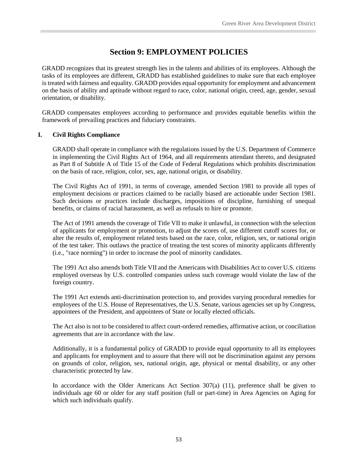## **Section 9: EMPLOYMENT POLICIES**

<span id="page-58-0"></span>GRADD recognizes that its greatest strength lies in the talents and abilities of its employees. Although the tasks of its employees are different, GRADD has established guidelines to make sure that each employee is treated with fairness and equality. GRADD provides equal opportunity for employment and advancement on the basis of ability and aptitude without regard to race, color, national origin, creed, age, gender, sexual orientation, or disability.

GRADD compensates employees according to performance and provides equitable benefits within the framework of prevailing practices and fiduciary constraints.

#### <span id="page-58-1"></span>**I. Civil Rights Compliance**

GRADD shall operate in compliance with the regulations issued by the U.S. Department of Commerce in implementing the Civil Rights Act of 1964, and all requirements attendant thereto, and designated as Part 8 of Subtitle A of Title 15 of the Code of Federal Regulations which prohibits discrimination on the basis of race, religion, color, sex, age, national origin, or disability.

The Civil Rights Act of 1991, in terms of coverage, amended Section 1981 to provide all types of employment decisions or practices claimed to be racially biased are actionable under Section 1981. Such decisions or practices include discharges, impositions of discipline, furnishing of unequal benefits, or claims of racial harassment, as well as refusals to hire or promote.

The Act of 1991 amends the coverage of Title VII to make it unlawful, in connection with the selection of applicants for employment or promotion, to adjust the scores of, use different cutoff scores for, or alter the results of, employment related tests based on the race, color, religion, sex, or national origin of the test taker. This outlaws the practice of treating the test scores of minority applicants differently (i.e., "race norming") in order to increase the pool of minority candidates.

The 1991 Act also amends both Title VII and the Americans with Disabilities Act to cover U.S. citizens employed overseas by U.S. controlled companies unless such coverage would violate the law of the foreign country.

The 1991 Act extends anti-discrimination protection to, and provides varying procedural remedies for employees of the U.S. House of Representatives, the U.S. Senate, various agencies set up by Congress, appointees of the President, and appointees of State or locally elected officials.

The Act also is not to be considered to affect court-ordered remedies, affirmative action, or conciliation agreements that are in accordance with the law.

Additionally, it is a fundamental policy of GRADD to provide equal opportunity to all its employees and applicants for employment and to assure that there will not be discrimination against any persons on grounds of color, religion, sex, national origin, age, physical or mental disability, or any other characteristic protected by law.

In accordance with the Older Americans Act Section 307(a) (11), preference shall be given to individuals age 60 or older for any staff position (full or part-time) in Area Agencies on Aging for which such individuals qualify.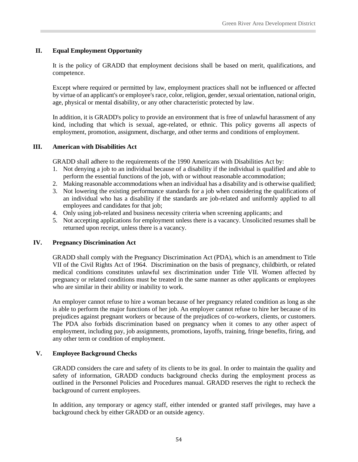#### <span id="page-59-0"></span>**II. Equal Employment Opportunity**

It is the policy of GRADD that employment decisions shall be based on merit, qualifications, and competence.

Except where required or permitted by law, employment practices shall not be influenced or affected by virtue of an applicant's or employee's race, color, religion, gender, sexual orientation, national origin, age, physical or mental disability, or any other characteristic protected by law.

In addition, it is GRADD's policy to provide an environment that is free of unlawful harassment of any kind, including that which is sexual, age-related, or ethnic. This policy governs all aspects of employment, promotion, assignment, discharge, and other terms and conditions of employment.

#### <span id="page-59-1"></span>**III. American with Disabilities Act**

GRADD shall adhere to the requirements of the 1990 Americans with Disabilities Act by:

- 1. Not denying a job to an individual because of a disability if the individual is qualified and able to perform the essential functions of the job, with or without reasonable accommodation;
- 2. Making reasonable accommodations when an individual has a disability and is otherwise qualified;
- 3. Not lowering the existing performance standards for a job when considering the qualifications of an individual who has a disability if the standards are job-related and uniformly applied to all employees and candidates for that job;
- 4. Only using job-related and business necessity criteria when screening applicants; and
- 5. Not accepting applications for employment unless there is a vacancy. Unsolicited resumes shall be returned upon receipt, unless there is a vacancy.

#### <span id="page-59-2"></span>**IV. Pregnancy Discrimination Act**

GRADD shall comply with the Pregnancy Discrimination Act (PDA), which is an amendment to Title VII of the Civil Rights Act of 1964. Discrimination on the basis of pregnancy, childbirth, or related medical conditions constitutes unlawful sex discrimination under Title VII. Women affected by pregnancy or related conditions must be treated in the same manner as other applicants or employees who are similar in their ability or inability to work.

An employer cannot refuse to hire a woman because of her pregnancy related condition as long as she is able to perform the major functions of her job. An employer cannot refuse to hire her because of its prejudices against pregnant workers or because of the prejudices of co-workers, clients, or customers. The PDA also forbids discrimination based on pregnancy when it comes to any other aspect of employment, including pay, job assignments, promotions, layoffs, training, fringe benefits, firing, and any other term or condition of employment.

#### <span id="page-59-3"></span>**V. Employee Background Checks**

GRADD considers the care and safety of its clients to be its goal. In order to maintain the quality and safety of information, GRADD conducts background checks during the employment process as outlined in the Personnel Policies and Procedures manual. GRADD reserves the right to recheck the background of current employees.

In addition, any temporary or agency staff, either intended or granted staff privileges, may have a background check by either GRADD or an outside agency.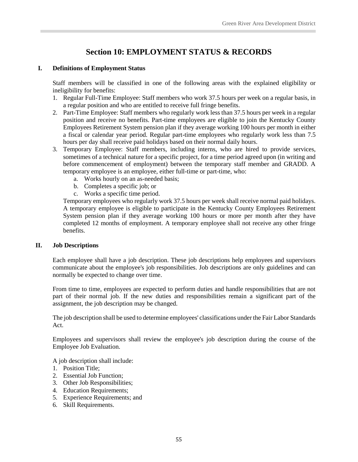## **Section 10: EMPLOYMENT STATUS & RECORDS**

#### <span id="page-60-1"></span><span id="page-60-0"></span>**I. Definitions of Employment Status**

Staff members will be classified in one of the following areas with the explained eligibility or ineligibility for benefits:

- 1. Regular Full-Time Employee: Staff members who work 37.5 hours per week on a regular basis, in a regular position and who are entitled to receive full fringe benefits.
- 2. Part-Time Employee: Staff members who regularly work less than 37.5 hours per week in a regular position and receive no benefits. Part-time employees are eligible to join the Kentucky County Employees Retirement System pension plan if they average working 100 hours per month in either a fiscal or calendar year period. Regular part-time employees who regularly work less than 7.5 hours per day shall receive paid holidays based on their normal daily hours.
- 3. Temporary Employee: Staff members, including interns, who are hired to provide services, sometimes of a technical nature for a specific project, for a time period agreed upon (in writing and before commencement of employment) between the temporary staff member and GRADD. A temporary employee is an employee, either full-time or part-time, who:
	- a. Works hourly on an as-needed basis;
	- b. Completes a specific job; or
	- c. Works a specific time period.

Temporary employees who regularly work 37.5 hours per week shall receive normal paid holidays. A temporary employee is eligible to participate in the Kentucky County Employees Retirement System pension plan if they average working 100 hours or more per month after they have completed 12 months of employment. A temporary employee shall not receive any other fringe benefits.

#### <span id="page-60-2"></span>**II. Job Descriptions**

Each employee shall have a job description. These job descriptions help employees and supervisors communicate about the employee's job responsibilities. Job descriptions are only guidelines and can normally be expected to change over time.

From time to time, employees are expected to perform duties and handle responsibilities that are not part of their normal job. If the new duties and responsibilities remain a significant part of the assignment, the job description may be changed.

The job description shall be used to determine employees' classifications under the Fair Labor Standards Act.

Employees and supervisors shall review the employee's job description during the course of the Employee Job Evaluation.

A job description shall include:

- 1. Position Title;
- 2. Essential Job Function;
- 3. Other Job Responsibilities;
- 4. Education Requirements;
- 5. Experience Requirements; and
- 6. Skill Requirements.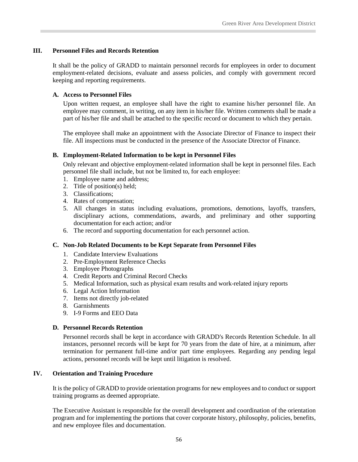#### <span id="page-61-0"></span>**III. Personnel Files and Records Retention**

It shall be the policy of GRADD to maintain personnel records for employees in order to document employment-related decisions, evaluate and assess policies, and comply with government record keeping and reporting requirements.

#### <span id="page-61-1"></span>**A. Access to Personnel Files**

Upon written request, an employee shall have the right to examine his/her personnel file. An employee may comment, in writing, on any item in his/her file. Written comments shall be made a part of his/her file and shall be attached to the specific record or document to which they pertain.

The employee shall make an appointment with the Associate Director of Finance to inspect their file. All inspections must be conducted in the presence of the Associate Director of Finance.

#### <span id="page-61-2"></span>**B. Employment-Related Information to be kept in Personnel Files**

Only relevant and objective employment-related information shall be kept in personnel files. Each personnel file shall include, but not be limited to, for each employee:

- 1. Employee name and address;
- 2. Title of position(s) held;
- 3. Classifications;
- 4. Rates of compensation;
- 5. All changes in status including evaluations, promotions, demotions, layoffs, transfers, disciplinary actions, commendations, awards, and preliminary and other supporting documentation for each action; and/or
- 6. The record and supporting documentation for each personnel action.

#### <span id="page-61-3"></span>**C. Non-Job Related Documents to be Kept Separate from Personnel Files**

- 1. Candidate Interview Evaluations
- 2. Pre-Employment Reference Checks
- 3. Employee Photographs
- 4. Credit Reports and Criminal Record Checks
- 5. Medical Information, such as physical exam results and work-related injury reports
- 6. Legal Action Information
- 7. Items not directly job-related
- 8. Garnishments
- 9. I-9 Forms and EEO Data

#### <span id="page-61-4"></span>**D. Personnel Records Retention**

Personnel records shall be kept in accordance with GRADD's Records Retention Schedule. In all instances, personnel records will be kept for 70 years from the date of hire, at a minimum, after termination for permanent full-time and/or part time employees. Regarding any pending legal actions, personnel records will be kept until litigation is resolved.

#### <span id="page-61-5"></span>**IV. Orientation and Training Procedure**

It is the policy of GRADD to provide orientation programs for new employees and to conduct or support training programs as deemed appropriate.

The Executive Assistant is responsible for the overall development and coordination of the orientation program and for implementing the portions that cover corporate history, philosophy, policies, benefits, and new employee files and documentation.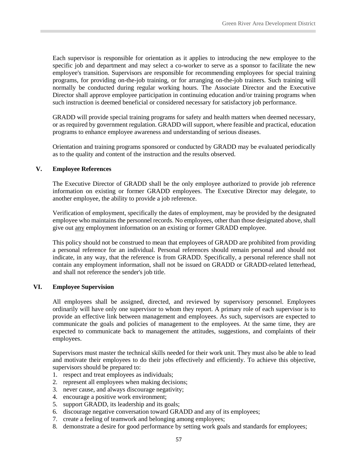Each supervisor is responsible for orientation as it applies to introducing the new employee to the specific job and department and may select a co-worker to serve as a sponsor to facilitate the new employee's transition. Supervisors are responsible for recommending employees for special training programs, for providing on-the-job training, or for arranging on-the-job trainers. Such training will normally be conducted during regular working hours. The Associate Director and the Executive Director shall approve employee participation in continuing education and/or training programs when such instruction is deemed beneficial or considered necessary for satisfactory job performance.

GRADD will provide special training programs for safety and health matters when deemed necessary, or as required by government regulation. GRADD will support, where feasible and practical, education programs to enhance employee awareness and understanding of serious diseases.

Orientation and training programs sponsored or conducted by GRADD may be evaluated periodically as to the quality and content of the instruction and the results observed.

#### <span id="page-62-0"></span>**V. Employee References**

The Executive Director of GRADD shall be the only employee authorized to provide job reference information on existing or former GRADD employees. The Executive Director may delegate, to another employee, the ability to provide a job reference.

Verification of employment, specifically the dates of employment, may be provided by the designated employee who maintains the personnel records. No employees, other than those designated above, shall give out any employment information on an existing or former GRADD employee.

This policy should not be construed to mean that employees of GRADD are prohibited from providing a personal reference for an individual. Personal references should remain personal and should not indicate, in any way, that the reference is from GRADD. Specifically, a personal reference shall not contain any employment information, shall not be issued on GRADD or GRADD-related letterhead, and shall not reference the sender's job title.

#### <span id="page-62-1"></span>**VI. Employee Supervision**

All employees shall be assigned, directed, and reviewed by supervisory personnel. Employees ordinarily will have only one supervisor to whom they report. A primary role of each supervisor is to provide an effective link between management and employees. As such, supervisors are expected to communicate the goals and policies of management to the employees. At the same time, they are expected to communicate back to management the attitudes, suggestions, and complaints of their employees.

Supervisors must master the technical skills needed for their work unit. They must also be able to lead and motivate their employees to do their jobs effectively and efficiently. To achieve this objective, supervisors should be prepared to:

- 1. respect and treat employees as individuals;
- 2. represent all employees when making decisions;
- 3. never cause, and always discourage negativity;
- 4. encourage a positive work environment;
- 5. support GRADD, its leadership and its goals;
- 6. discourage negative conversation toward GRADD and any of its employees;
- 7. create a feeling of teamwork and belonging among employees;
- 8. demonstrate a desire for good performance by setting work goals and standards for employees;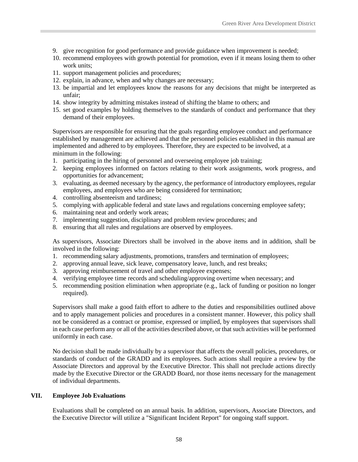- 9. give recognition for good performance and provide guidance when improvement is needed;
- 10. recommend employees with growth potential for promotion, even if it means losing them to other work units;
- 11. support management policies and procedures;
- 12. explain, in advance, when and why changes are necessary;
- 13. be impartial and let employees know the reasons for any decisions that might be interpreted as unfair;
- 14. show integrity by admitting mistakes instead of shifting the blame to others; and
- 15. set good examples by holding themselves to the standards of conduct and performance that they demand of their employees.

Supervisors are responsible for ensuring that the goals regarding employee conduct and performance established by management are achieved and that the personnel policies established in this manual are implemented and adhered to by employees. Therefore, they are expected to be involved, at a minimum in the following:

- 1. participating in the hiring of personnel and overseeing employee job training;
- 2. keeping employees informed on factors relating to their work assignments, work progress, and opportunities for advancement;
- 3. evaluating, as deemed necessary by the agency, the performance of introductory employees, regular employees, and employees who are being considered for termination;
- 4. controlling absenteeism and tardiness;
- 5. complying with applicable federal and state laws and regulations concerning employee safety;
- 6. maintaining neat and orderly work areas;
- 7. implementing suggestion, disciplinary and problem review procedures; and
- 8. ensuring that all rules and regulations are observed by employees.

As supervisors, Associate Directors shall be involved in the above items and in addition, shall be involved in the following:

- 1. recommending salary adjustments, promotions, transfers and termination of employees;
- 2. approving annual leave, sick leave, compensatory leave, lunch, and rest breaks;
- 3. approving reimbursement of travel and other employee expenses;
- 4. verifying employee time records and scheduling/approving overtime when necessary; and
- 5. recommending position elimination when appropriate (e.g., lack of funding or position no longer required).

Supervisors shall make a good faith effort to adhere to the duties and responsibilities outlined above and to apply management policies and procedures in a consistent manner. However, this policy shall not be considered as a contract or promise, expressed or implied, by employees that supervisors shall in each case perform any or all of the activities described above, or that such activities will be performed uniformly in each case.

No decision shall be made individually by a supervisor that affects the overall policies, procedures, or standards of conduct of the GRADD and its employees. Such actions shall require a review by the Associate Directors and approval by the Executive Director. This shall not preclude actions directly made by the Executive Director or the GRADD Board, nor those items necessary for the management of individual departments.

#### <span id="page-63-0"></span>**VII. Employee Job Evaluations**

Evaluations shall be completed on an annual basis. In addition, supervisors, Associate Directors, and the Executive Director will utilize a "Significant Incident Report" for ongoing staff support.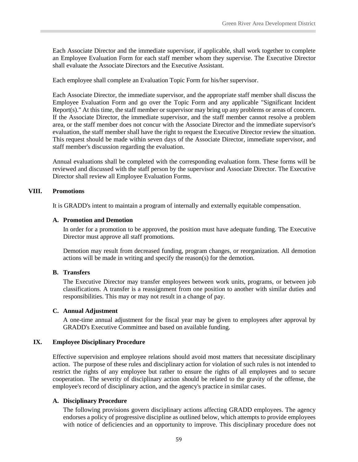Each Associate Director and the immediate supervisor, if applicable, shall work together to complete an Employee Evaluation Form for each staff member whom they supervise. The Executive Director shall evaluate the Associate Directors and the Executive Assistant.

Each employee shall complete an Evaluation Topic Form for his/her supervisor.

Each Associate Director, the immediate supervisor, and the appropriate staff member shall discuss the Employee Evaluation Form and go over the Topic Form and any applicable "Significant Incident Report(s)." At this time, the staff member or supervisor may bring up any problems or areas of concern. If the Associate Director, the immediate supervisor, and the staff member cannot resolve a problem area, or the staff member does not concur with the Associate Director and the immediate supervisor's evaluation, the staff member shall have the right to request the Executive Director review the situation. This request should be made within seven days of the Associate Director, immediate supervisor, and staff member's discussion regarding the evaluation.

Annual evaluations shall be completed with the corresponding evaluation form. These forms will be reviewed and discussed with the staff person by the supervisor and Associate Director. The Executive Director shall review all Employee Evaluation Forms.

#### <span id="page-64-0"></span>**VIII. Promotions**

<span id="page-64-1"></span>It is GRADD's intent to maintain a program of internally and externally equitable compensation.

#### **A. Promotion and Demotion**

In order for a promotion to be approved, the position must have adequate funding. The Executive Director must approve all staff promotions.

Demotion may result from decreased funding, program changes, or reorganization. All demotion actions will be made in writing and specify the reason(s) for the demotion.

#### <span id="page-64-2"></span>**B. Transfers**

The Executive Director may transfer employees between work units, programs, or between job classifications. A transfer is a reassignment from one position to another with similar duties and responsibilities. This may or may not result in a change of pay.

#### <span id="page-64-3"></span>**C. Annual Adjustment**

A one-time annual adjustment for the fiscal year may be given to employees after approval by GRADD's Executive Committee and based on available funding.

#### <span id="page-64-4"></span>**IX. Employee Disciplinary Procedure**

Effective supervision and employee relations should avoid most matters that necessitate disciplinary action. The purpose of these rules and disciplinary action for violation of such rules is not intended to restrict the rights of any employee but rather to ensure the rights of all employees and to secure cooperation. The severity of disciplinary action should be related to the gravity of the offense, the employee's record of disciplinary action, and the agency's practice in similar cases.

#### <span id="page-64-5"></span>**A. Disciplinary Procedure**

The following provisions govern disciplinary actions affecting GRADD employees. The agency endorses a policy of progressive discipline as outlined below, which attempts to provide employees with notice of deficiencies and an opportunity to improve. This disciplinary procedure does not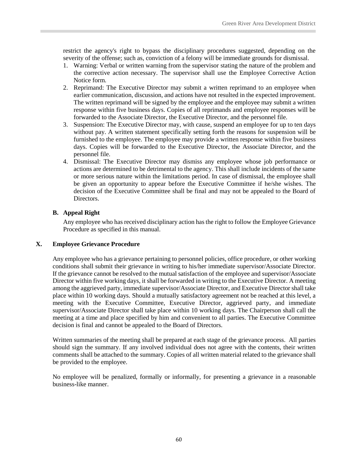restrict the agency's right to bypass the disciplinary procedures suggested, depending on the severity of the offense; such as, conviction of a felony will be immediate grounds for dismissal.

- 1. Warning: Verbal or written warning from the supervisor stating the nature of the problem and the corrective action necessary. The supervisor shall use the Employee Corrective Action Notice form.
- 2. Reprimand: The Executive Director may submit a written reprimand to an employee when earlier communication, discussion, and actions have not resulted in the expected improvement. The written reprimand will be signed by the employee and the employee may submit a written response within five business days. Copies of all reprimands and employee responses will be forwarded to the Associate Director, the Executive Director, and the personnel file.
- 3. Suspension: The Executive Director may, with cause, suspend an employee for up to ten days without pay. A written statement specifically setting forth the reasons for suspension will be furnished to the employee. The employee may provide a written response within five business days. Copies will be forwarded to the Executive Director, the Associate Director, and the personnel file.
- 4. Dismissal: The Executive Director may dismiss any employee whose job performance or actions are determined to be detrimental to the agency. This shall include incidents of the same or more serious nature within the limitations period. In case of dismissal, the employee shall be given an opportunity to appear before the Executive Committee if he/she wishes. The decision of the Executive Committee shall be final and may not be appealed to the Board of Directors.

#### <span id="page-65-0"></span>**B. Appeal Right**

Any employee who has received disciplinary action has the right to follow the Employee Grievance Procedure as specified in this manual.

#### <span id="page-65-1"></span>**X. Employee Grievance Procedure**

Any employee who has a grievance pertaining to personnel policies, office procedure, or other working conditions shall submit their grievance in writing to his/her immediate supervisor/Associate Director. If the grievance cannot be resolved to the mutual satisfaction of the employee and supervisor/Associate Director within five working days, it shall be forwarded in writing to the Executive Director. A meeting among the aggrieved party, immediate supervisor/Associate Director, and Executive Director shall take place within 10 working days. Should a mutually satisfactory agreement not be reached at this level, a meeting with the Executive Committee, Executive Director, aggrieved party, and immediate supervisor/Associate Director shall take place within 10 working days. The Chairperson shall call the meeting at a time and place specified by him and convenient to all parties. The Executive Committee decision is final and cannot be appealed to the Board of Directors.

Written summaries of the meeting shall be prepared at each stage of the grievance process. All parties should sign the summary. If any involved individual does not agree with the contents, their written comments shall be attached to the summary. Copies of all written material related to the grievance shall be provided to the employee.

No employee will be penalized, formally or informally, for presenting a grievance in a reasonable business-like manner.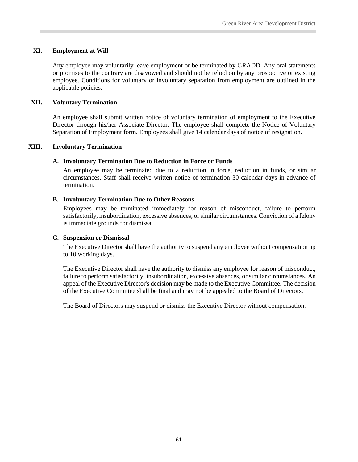#### <span id="page-66-0"></span>**XI. Employment at Will**

Any employee may voluntarily leave employment or be terminated by GRADD. Any oral statements or promises to the contrary are disavowed and should not be relied on by any prospective or existing employee. Conditions for voluntary or involuntary separation from employment are outlined in the applicable policies.

#### <span id="page-66-1"></span>**XII. Voluntary Termination**

An employee shall submit written notice of voluntary termination of employment to the Executive Director through his/her Associate Director. The employee shall complete the Notice of Voluntary Separation of Employment form. Employees shall give 14 calendar days of notice of resignation.

#### <span id="page-66-3"></span><span id="page-66-2"></span>**XIII. Involuntary Termination**

#### **A. Involuntary Termination Due to Reduction in Force or Funds**

An employee may be terminated due to a reduction in force, reduction in funds, or similar circumstances. Staff shall receive written notice of termination 30 calendar days in advance of termination.

#### <span id="page-66-4"></span>**B. Involuntary Termination Due to Other Reasons**

Employees may be terminated immediately for reason of misconduct, failure to perform satisfactorily, insubordination, excessive absences, orsimilar circumstances. Conviction of a felony is immediate grounds for dismissal.

#### <span id="page-66-5"></span>**C. Suspension or Dismissal**

The Executive Director shall have the authority to suspend any employee without compensation up to 10 working days.

The Executive Director shall have the authority to dismiss any employee for reason of misconduct, failure to perform satisfactorily, insubordination, excessive absences, or similar circumstances. An appeal of the Executive Director's decision may be made to the Executive Committee. The decision of the Executive Committee shall be final and may not be appealed to the Board of Directors.

The Board of Directors may suspend or dismiss the Executive Director without compensation.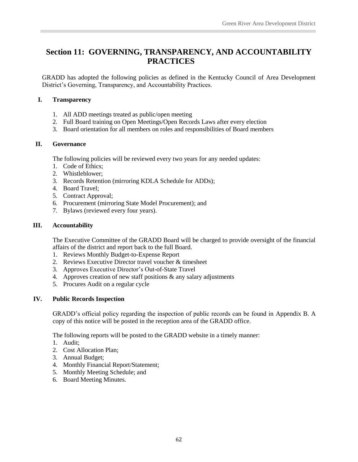## <span id="page-67-0"></span>**Section 11: GOVERNING, TRANSPARENCY, AND ACCOUNTABILITY PRACTICES**

GRADD has adopted the following policies as defined in the Kentucky Council of Area Development District's Governing, Transparency, and Accountability Practices.

#### <span id="page-67-1"></span>**I. Transparency**

- 1. All ADD meetings treated as public/open meeting
- 2. Full Board training on Open Meetings/Open Records Laws after every election
- 3. Board orientation for all members on roles and responsibilities of Board members

#### <span id="page-67-2"></span>**II. Governance**

The following policies will be reviewed every two years for any needed updates:

- 1. Code of Ethics;
- 2. Whistleblower;
- 3. Records Retention (mirroring KDLA Schedule for ADDs);
- 4. Board Travel;
- 5. Contract Approval;
- 6. Procurement (mirroring State Model Procurement); and
- 7. Bylaws (reviewed every four years).

#### <span id="page-67-3"></span>**III. Accountability**

The Executive Committee of the GRADD Board will be charged to provide oversight of the financial affairs of the district and report back to the full Board.

- 1. Reviews Monthly Budget-to-Expense Report
- 2. Reviews Executive Director travel voucher & timesheet
- 3. Approves Executive Director's Out-of-State Travel
- 4. Approves creation of new staff positions  $\&$  any salary adjustments
- 5. Procures Audit on a regular cycle

#### <span id="page-67-4"></span>**IV. Public Records Inspection**

GRADD's official policy regarding the inspection of public records can be found in Appendix B. A copy of this notice will be posted in the reception area of the GRADD office.

The following reports will be posted to the GRADD website in a timely manner:

- 1. Audit;
- 2. Cost Allocation Plan;
- 3. Annual Budget;
- 4. Monthly Financial Report/Statement;
- 5. Monthly Meeting Schedule; and
- 6. Board Meeting Minutes.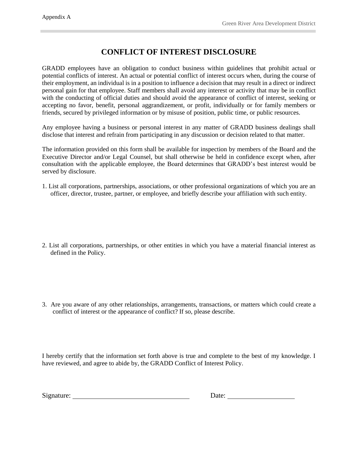## **CONFLICT OF INTEREST DISCLOSURE**

GRADD employees have an obligation to conduct business within guidelines that prohibit actual or potential conflicts of interest. An actual or potential conflict of interest occurs when, during the course of their employment, an individual is in a position to influence a decision that may result in a direct or indirect personal gain for that employee. Staff members shall avoid any interest or activity that may be in conflict with the conducting of official duties and should avoid the appearance of conflict of interest, seeking or accepting no favor, benefit, personal aggrandizement, or profit, individually or for family members or friends, secured by privileged information or by misuse of position, public time, or public resources.

Any employee having a business or personal interest in any matter of GRADD business dealings shall disclose that interest and refrain from participating in any discussion or decision related to that matter.

The information provided on this form shall be available for inspection by members of the Board and the Executive Director and/or Legal Counsel, but shall otherwise be held in confidence except when, after consultation with the applicable employee, the Board determines that GRADD's best interest would be served by disclosure.

- 1. List all corporations, partnerships, associations, or other professional organizations of which you are an officer, director, trustee, partner, or employee, and briefly describe your affiliation with such entity.
- 2. List all corporations, partnerships, or other entities in which you have a material financial interest as defined in the Policy.
- 3. Are you aware of any other relationships, arrangements, transactions, or matters which could create a conflict of interest or the appearance of conflict? If so, please describe.

I hereby certify that the information set forth above is true and complete to the best of my knowledge. I have reviewed, and agree to abide by, the GRADD Conflict of Interest Policy.

Signature: Date: Date: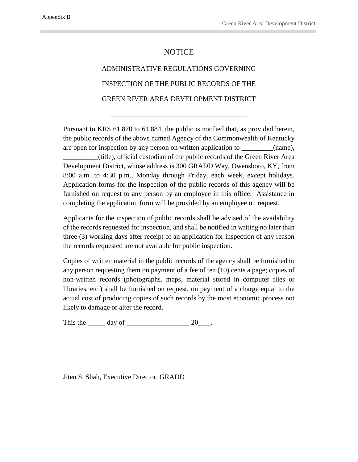### **NOTICE**

## ADMINISTRATIVE REGULATIONS GOVERNING INSPECTION OF THE PUBLIC RECORDS OF THE GREEN RIVER AREA DEVELOPMENT DISTRICT

\_\_\_\_\_\_\_\_\_\_\_\_\_\_\_\_\_\_\_\_\_\_\_\_\_\_\_\_\_\_\_\_\_\_\_\_\_\_\_

Pursuant to KRS 61.870 to 61.884, the public is notified that, as provided herein, the public records of the above named Agency of the Commonwealth of Kentucky are open for inspection by any person on written application to \_\_\_\_\_\_\_\_(name), \_\_\_\_\_\_\_\_\_\_(title), official custodian of the public records of the Green River Area Development District, whose address is 300 GRADD Way, Owensboro, KY, from 8:00 a.m. to 4:30 p.m., Monday through Friday, each week, except holidays. Application forms for the inspection of the public records of this agency will be furnished on request to any person by an employee in this office. Assistance in

Applicants for the inspection of public records shall be advised of the availability of the records requested for inspection, and shall be notified in writing no later than three (3) working days after receipt of an application for inspection of any reason the records requested are not available for public inspection.

completing the application form will be provided by an employee on request.

Copies of written material in the public records of the agency shall be furnished to any person requesting them on payment of a fee of ten (10) cents a page; copies of non-written records (photographs, maps, material stored in computer files or libraries, etc.) shall be furnished on request, on payment of a charge equal to the actual cost of producing copies of such records by the most economic process not likely to damage or alter the record.

This the  $\_\_\_$  day of  $\_\_\_\_\_$  20  $\_\_\_\$ .

Jiten S. Shah, Executive Director, GRADD